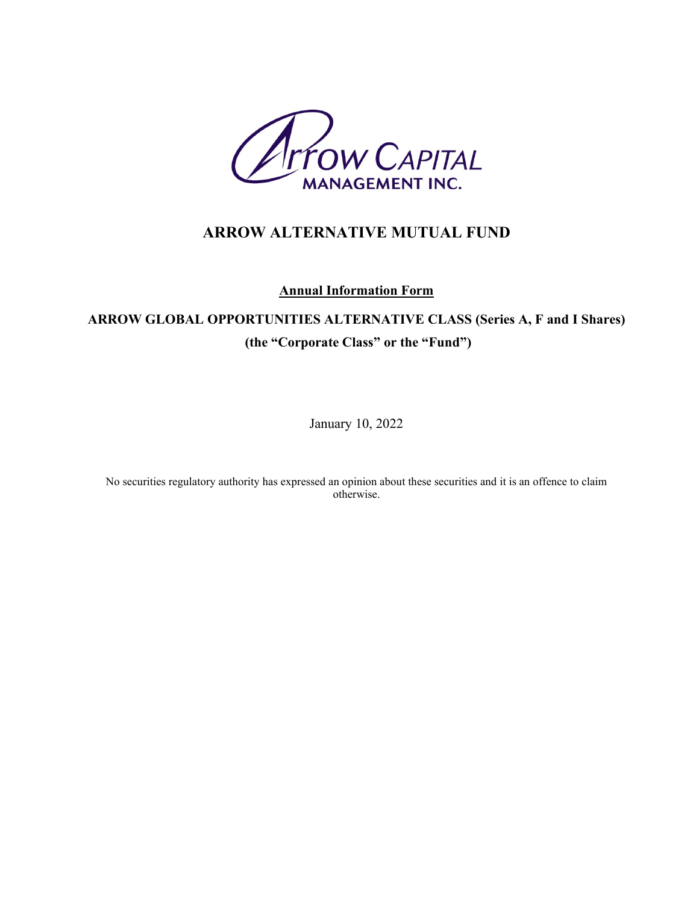

# **ARROW ALTERNATIVE MUTUAL FUND**

**Annual Information Form**

# **ARROW GLOBAL OPPORTUNITIES ALTERNATIVE CLASS (Series A, F and I Shares) (the "Corporate Class" or the "Fund")**

January 10, 2022

No securities regulatory authority has expressed an opinion about these securities and it is an offence to claim otherwise.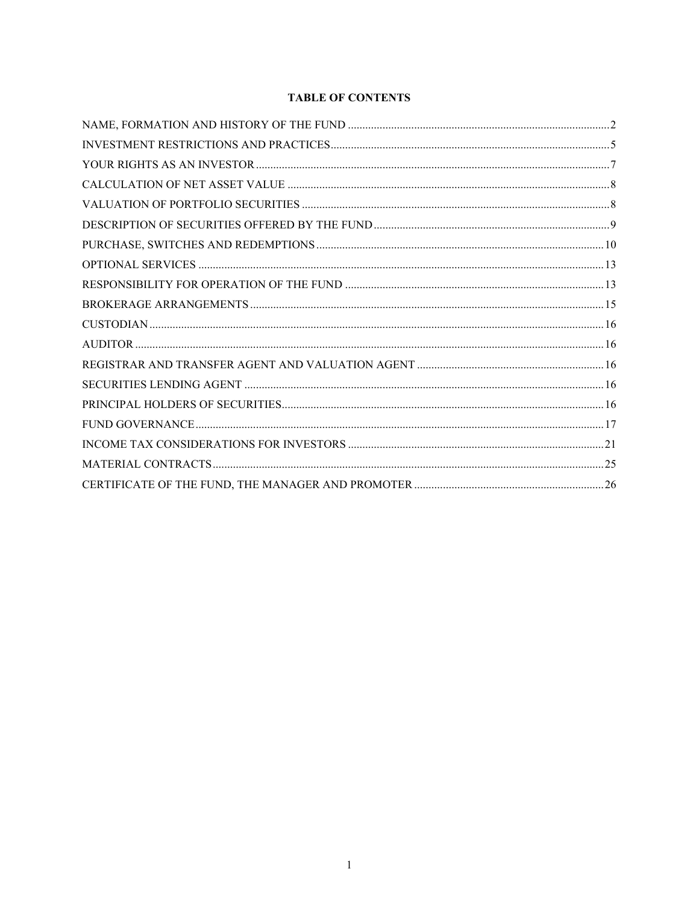# **TABLE OF CONTENTS**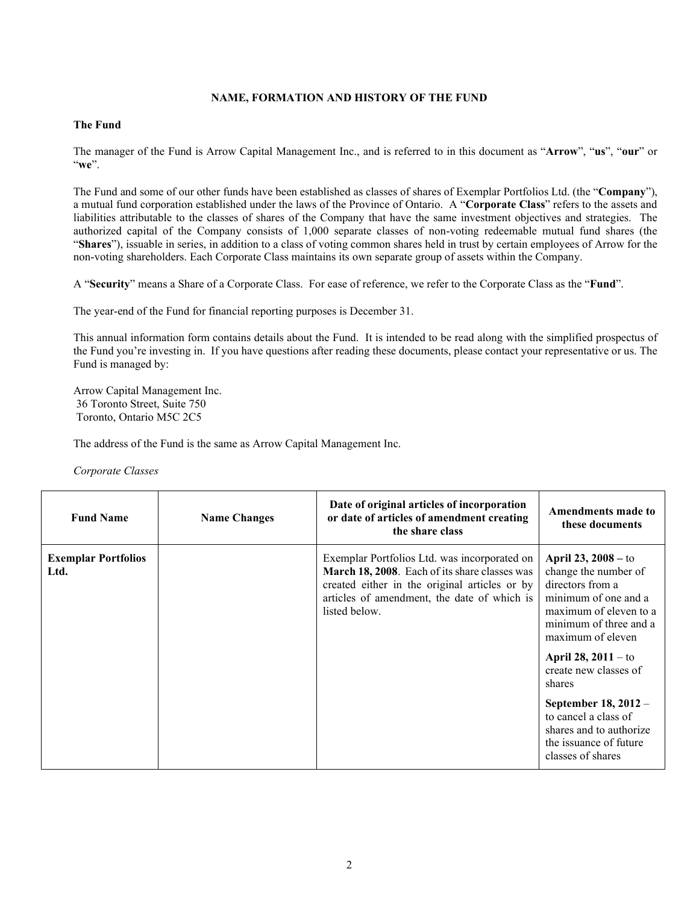#### **NAME, FORMATION AND HISTORY OF THE FUND**

#### <span id="page-2-0"></span>**The Fund**

The manager of the Fund is Arrow Capital Management Inc., and is referred to in this document as "**Arrow**", "**us**", "**our**" or "**we**".

The Fund and some of our other funds have been established as classes of shares of Exemplar Portfolios Ltd. (the "**Company**"), a mutual fund corporation established under the laws of the Province of Ontario. A "**Corporate Class**" refers to the assets and liabilities attributable to the classes of shares of the Company that have the same investment objectives and strategies. The authorized capital of the Company consists of 1,000 separate classes of non-voting redeemable mutual fund shares (the "**Shares**"), issuable in series, in addition to a class of voting common shares held in trust by certain employees of Arrow for the non-voting shareholders. Each Corporate Class maintains its own separate group of assets within the Company.

A "**Security**" means a Share of a Corporate Class. For ease of reference, we refer to the Corporate Class as the "**Fund**".

The year-end of the Fund for financial reporting purposes is December 31.

This annual information form contains details about the Fund. It is intended to be read along with the simplified prospectus of the Fund you're investing in. If you have questions after reading these documents, please contact your representative or us. The Fund is managed by:

Arrow Capital Management Inc. 36 Toronto Street, Suite 750 Toronto, Ontario M5C 2C5

The address of the Fund is the same as Arrow Capital Management Inc.

*Corporate Classes*

| <b>Fund Name</b>                   | <b>Name Changes</b> | Date of original articles of incorporation<br>or date of articles of amendment creating<br>the share class                                                                                                     | Amendments made to<br>these documents                                                                                                                                                                                                                                                                                                                         |
|------------------------------------|---------------------|----------------------------------------------------------------------------------------------------------------------------------------------------------------------------------------------------------------|---------------------------------------------------------------------------------------------------------------------------------------------------------------------------------------------------------------------------------------------------------------------------------------------------------------------------------------------------------------|
| <b>Exemplar Portfolios</b><br>Ltd. |                     | Exemplar Portfolios Ltd. was incorporated on<br>March 18, 2008. Each of its share classes was<br>created either in the original articles or by<br>articles of amendment, the date of which is<br>listed below. | <b>April 23, 2008</b> – to<br>change the number of<br>directors from a<br>minimum of one and a<br>maximum of eleven to a<br>minimum of three and a<br>maximum of eleven<br>April 28, $2011 -$ to<br>create new classes of<br>shares<br>September 18, 2012 -<br>to cancel a class of<br>shares and to authorize<br>the issuance of future<br>classes of shares |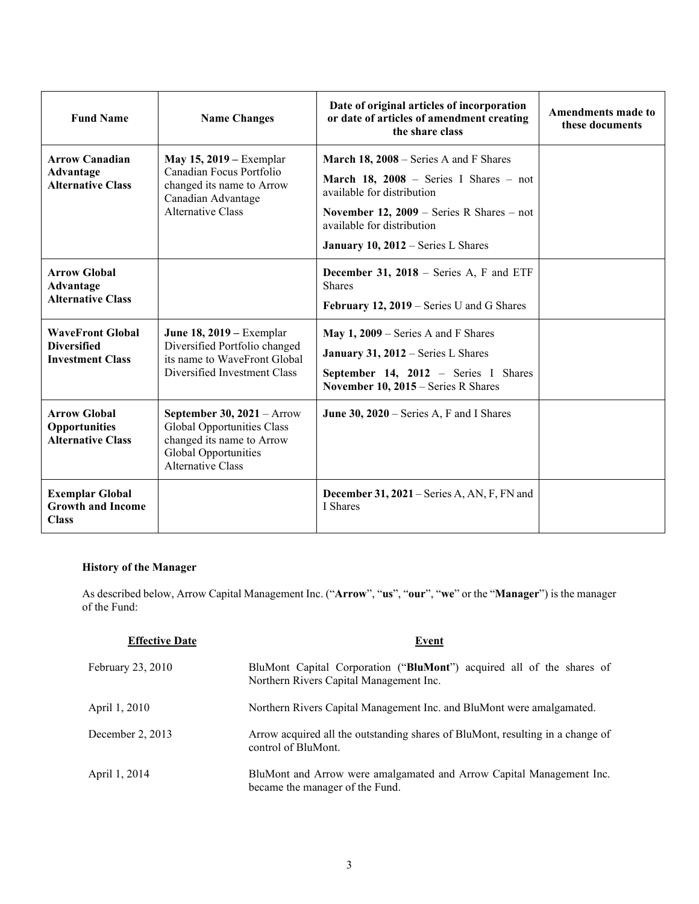| <b>Fund Name</b>                                                         | <b>Name Changes</b>                                                                                                                  | Date of original articles of incorporation<br>or date of articles of amendment creating<br>the share class                                                                                                                               | <b>Amendments made to</b><br>these documents |
|--------------------------------------------------------------------------|--------------------------------------------------------------------------------------------------------------------------------------|------------------------------------------------------------------------------------------------------------------------------------------------------------------------------------------------------------------------------------------|----------------------------------------------|
| <b>Arrow Canadian</b><br>Advantage<br><b>Alternative Class</b>           | May 15, 2019 – Exemplar<br>Canadian Focus Portfolio<br>changed its name to Arrow<br>Canadian Advantage<br><b>Alternative Class</b>   | <b>March 18, 2008</b> – Series A and F Shares<br>March 18, 2008 - Series I Shares - not<br>available for distribution<br>November 12, $2009$ – Series R Shares – not<br>available for distribution<br>January 10, 2012 – Series L Shares |                                              |
| <b>Arrow Global</b><br>Advantage<br><b>Alternative Class</b>             |                                                                                                                                      | <b>December 31, 2018</b> – Series A, F and ETF<br><b>Shares</b><br>February 12, 2019 – Series U and G Shares                                                                                                                             |                                              |
| <b>WaveFront Global</b><br><b>Diversified</b><br><b>Investment Class</b> | June 18, 2019 – Exemplar<br>Diversified Portfolio changed<br>its name to WaveFront Global<br>Diversified Investment Class            | May $1, 2009$ – Series A and F Shares<br>January 31, 2012 – Series L Shares<br>September 14, 2012 - Series I Shares<br>November 10, 2015 – Series R Shares                                                                               |                                              |
| <b>Arrow Global</b><br>Opportunities<br><b>Alternative Class</b>         | September 30, $2021 -$ Arrow<br>Global Opportunities Class<br>changed its name to Arrow<br>Global Opportunities<br>Alternative Class | June 30, $2020$ – Series A, F and I Shares                                                                                                                                                                                               |                                              |
| <b>Exemplar Global</b><br><b>Growth and Income</b><br><b>Class</b>       |                                                                                                                                      | December 31, 2021 – Series A, AN, F, FN and<br>I Shares                                                                                                                                                                                  |                                              |

# **History of the Manager**

As described below, Arrow Capital Management Inc. ("**Arrow**", "**us**", "**our**", "**we**" or the "**Manager**") is the manager of the Fund:

| <b>Effective Date</b> | Event                                                                                                            |
|-----------------------|------------------------------------------------------------------------------------------------------------------|
| February 23, 2010     | BluMont Capital Corporation ("BluMont") acquired all of the shares of<br>Northern Rivers Capital Management Inc. |
| April 1, 2010         | Northern Rivers Capital Management Inc. and BluMont were amalgamated.                                            |
| December 2, 2013      | Arrow acquired all the outstanding shares of BluMont, resulting in a change of<br>control of BluMont.            |
| April 1, 2014         | BluMont and Arrow were amalgamated and Arrow Capital Management Inc.<br>became the manager of the Fund.          |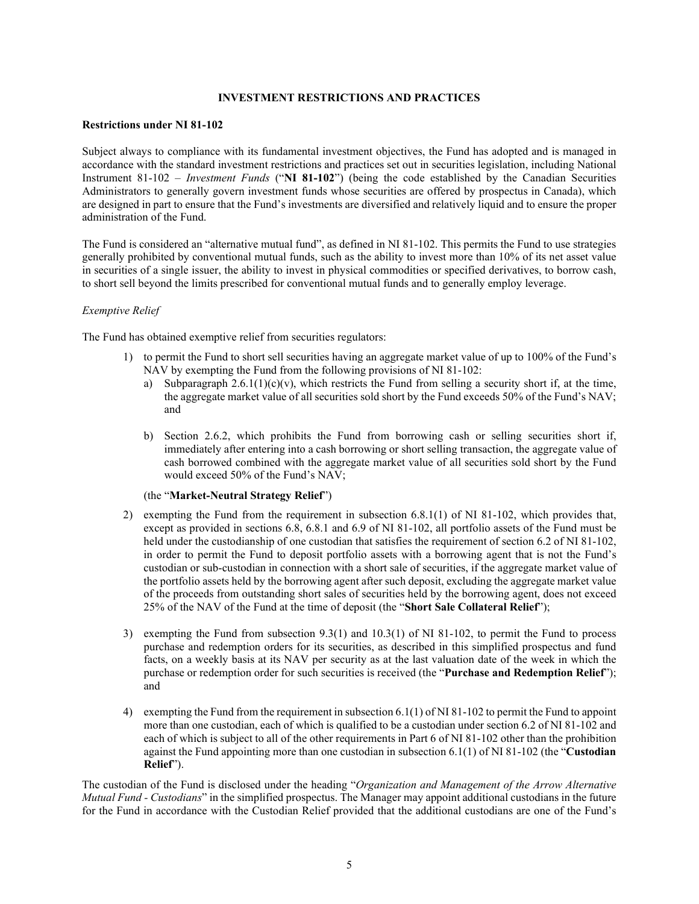#### **INVESTMENT RESTRICTIONS AND PRACTICES**

#### <span id="page-4-0"></span>**Restrictions under NI 81-102**

Subject always to compliance with its fundamental investment objectives, the Fund has adopted and is managed in accordance with the standard investment restrictions and practices set out in securities legislation, including National Instrument 81-102 – *Investment Funds* ("**NI 81-102**") (being the code established by the Canadian Securities Administrators to generally govern investment funds whose securities are offered by prospectus in Canada), which are designed in part to ensure that the Fund's investments are diversified and relatively liquid and to ensure the proper administration of the Fund.

The Fund is considered an "alternative mutual fund", as defined in NI 81-102. This permits the Fund to use strategies generally prohibited by conventional mutual funds, such as the ability to invest more than 10% of its net asset value in securities of a single issuer, the ability to invest in physical commodities or specified derivatives, to borrow cash, to short sell beyond the limits prescribed for conventional mutual funds and to generally employ leverage.

#### *Exemptive Relief*

The Fund has obtained exemptive relief from securities regulators:

- 1) to permit the Fund to short sell securities having an aggregate market value of up to 100% of the Fund's NAV by exempting the Fund from the following provisions of NI 81-102:
	- a) Subparagraph  $2.6.1(1)(c)(v)$ , which restricts the Fund from selling a security short if, at the time, the aggregate market value of all securities sold short by the Fund exceeds 50% of the Fund's NAV; and
	- b) Section 2.6.2, which prohibits the Fund from borrowing cash or selling securities short if, immediately after entering into a cash borrowing or short selling transaction, the aggregate value of cash borrowed combined with the aggregate market value of all securities sold short by the Fund would exceed 50% of the Fund's NAV;

#### (the "**Market-Neutral Strategy Relief**")

- 2) exempting the Fund from the requirement in subsection 6.8.1(1) of NI 81-102, which provides that, except as provided in sections 6.8, 6.8.1 and 6.9 of NI 81-102, all portfolio assets of the Fund must be held under the custodianship of one custodian that satisfies the requirement of section 6.2 of NI 81-102, in order to permit the Fund to deposit portfolio assets with a borrowing agent that is not the Fund's custodian or sub-custodian in connection with a short sale of securities, if the aggregate market value of the portfolio assets held by the borrowing agent after such deposit, excluding the aggregate market value of the proceeds from outstanding short sales of securities held by the borrowing agent, does not exceed 25% of the NAV of the Fund at the time of deposit (the "**Short Sale Collateral Relief**");
- 3) exempting the Fund from subsection 9.3(1) and 10.3(1) of NI 81-102, to permit the Fund to process purchase and redemption orders for its securities, as described in this simplified prospectus and fund facts, on a weekly basis at its NAV per security as at the last valuation date of the week in which the purchase or redemption order for such securities is received (the "**Purchase and Redemption Relief**"); and
- 4) exempting the Fund from the requirement in subsection 6.1(1) of NI 81-102 to permit the Fund to appoint more than one custodian, each of which is qualified to be a custodian under section 6.2 of NI 81-102 and each of which is subject to all of the other requirements in Part 6 of NI 81-102 other than the prohibition against the Fund appointing more than one custodian in subsection 6.1(1) of NI 81-102 (the "**Custodian Relief**").

The custodian of the Fund is disclosed under the heading "*Organization and Management of the Arrow Alternative Mutual Fund - Custodians*" in the simplified prospectus. The Manager may appoint additional custodians in the future for the Fund in accordance with the Custodian Relief provided that the additional custodians are one of the Fund's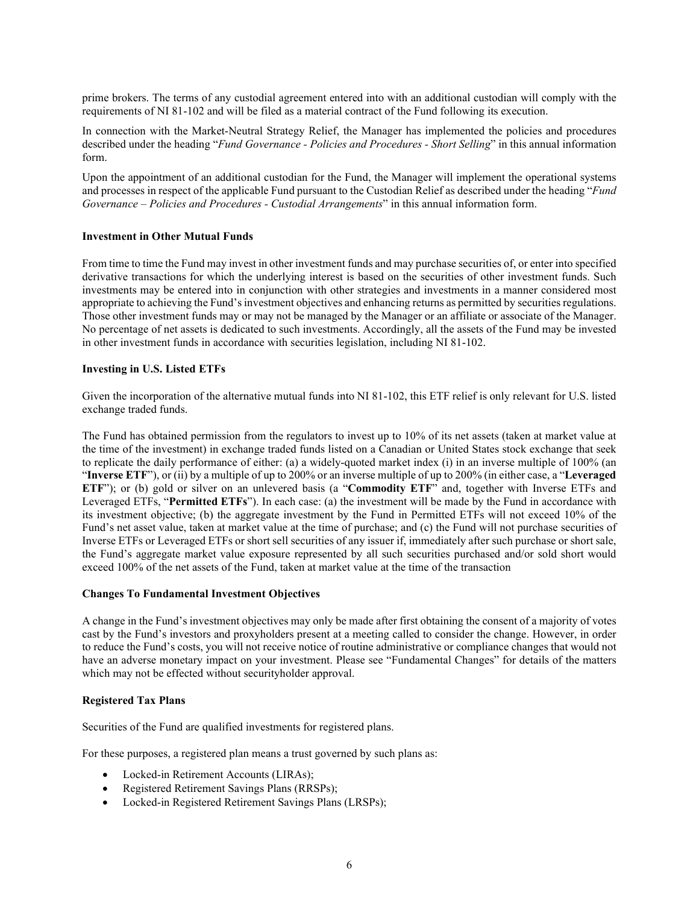prime brokers. The terms of any custodial agreement entered into with an additional custodian will comply with the requirements of NI 81-102 and will be filed as a material contract of the Fund following its execution.

In connection with the Market-Neutral Strategy Relief, the Manager has implemented the policies and procedures described under the heading "*Fund Governance - Policies and Procedures - Short Selling*" in this annual information form.

Upon the appointment of an additional custodian for the Fund, the Manager will implement the operational systems and processes in respect of the applicable Fund pursuant to the Custodian Relief as described under the heading "*Fund Governance – Policies and Procedures - Custodial Arrangements*" in this annual information form.

#### **Investment in Other Mutual Funds**

From time to time the Fund may invest in other investment funds and may purchase securities of, or enter into specified derivative transactions for which the underlying interest is based on the securities of other investment funds. Such investments may be entered into in conjunction with other strategies and investments in a manner considered most appropriate to achieving the Fund's investment objectives and enhancing returns as permitted by securities regulations. Those other investment funds may or may not be managed by the Manager or an affiliate or associate of the Manager. No percentage of net assets is dedicated to such investments. Accordingly, all the assets of the Fund may be invested in other investment funds in accordance with securities legislation, including NI 81-102.

#### **Investing in U.S. Listed ETFs**

Given the incorporation of the alternative mutual funds into NI 81-102, this ETF relief is only relevant for U.S. listed exchange traded funds.

The Fund has obtained permission from the regulators to invest up to 10% of its net assets (taken at market value at the time of the investment) in exchange traded funds listed on a Canadian or United States stock exchange that seek to replicate the daily performance of either: (a) a widely-quoted market index (i) in an inverse multiple of 100% (an "**Inverse ETF**"), or (ii) by a multiple of up to 200% or an inverse multiple of up to 200% (in either case, a "**Leveraged ETF**"); or (b) gold or silver on an unlevered basis (a "**Commodity ETF**" and, together with Inverse ETFs and Leveraged ETFs, "**Permitted ETFs**"). In each case: (a) the investment will be made by the Fund in accordance with its investment objective; (b) the aggregate investment by the Fund in Permitted ETFs will not exceed 10% of the Fund's net asset value, taken at market value at the time of purchase; and (c) the Fund will not purchase securities of Inverse ETFs or Leveraged ETFs or short sell securities of any issuer if, immediately after such purchase or short sale, the Fund's aggregate market value exposure represented by all such securities purchased and/or sold short would exceed 100% of the net assets of the Fund, taken at market value at the time of the transaction

#### **Changes To Fundamental Investment Objectives**

A change in the Fund's investment objectives may only be made after first obtaining the consent of a majority of votes cast by the Fund's investors and proxyholders present at a meeting called to consider the change. However, in order to reduce the Fund's costs, you will not receive notice of routine administrative or compliance changes that would not have an adverse monetary impact on your investment. Please see "Fundamental Changes" for details of the matters which may not be effected without securityholder approval.

# **Registered Tax Plans**

Securities of the Fund are qualified investments for registered plans.

For these purposes, a registered plan means a trust governed by such plans as:

- Locked-in Retirement Accounts (LIRAs);
- Registered Retirement Savings Plans (RRSPs);
- Locked-in Registered Retirement Savings Plans (LRSPs);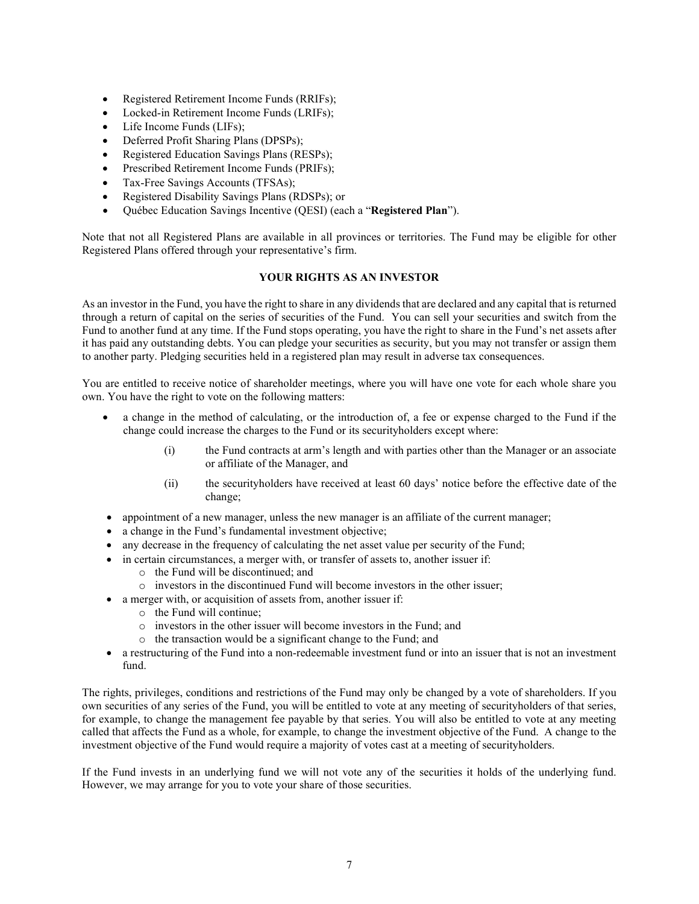- Registered Retirement Income Funds (RRIFs);
- Locked-in Retirement Income Funds (LRIFs);
- Life Income Funds (LIFs);
- Deferred Profit Sharing Plans (DPSPs);
- Registered Education Savings Plans (RESPs);
- Prescribed Retirement Income Funds (PRIFs);
- Tax-Free Savings Accounts (TFSAs);
- Registered Disability Savings Plans (RDSPs); or
- Québec Education Savings Incentive (QESI) (each a "**Registered Plan**").

Note that not all Registered Plans are available in all provinces or territories. The Fund may be eligible for other Registered Plans offered through your representative's firm.

# **YOUR RIGHTS AS AN INVESTOR**

<span id="page-6-0"></span>As an investor in the Fund, you have the right to share in any dividends that are declared and any capital that is returned through a return of capital on the series of securities of the Fund. You can sell your securities and switch from the Fund to another fund at any time. If the Fund stops operating, you have the right to share in the Fund's net assets after it has paid any outstanding debts. You can pledge your securities as security, but you may not transfer or assign them to another party. Pledging securities held in a registered plan may result in adverse tax consequences.

You are entitled to receive notice of shareholder meetings, where you will have one vote for each whole share you own. You have the right to vote on the following matters:

- a change in the method of calculating, or the introduction of, a fee or expense charged to the Fund if the change could increase the charges to the Fund or its securityholders except where:
	- (i) the Fund contracts at arm's length and with parties other than the Manager or an associate or affiliate of the Manager, and
	- (ii) the securityholders have received at least 60 days' notice before the effective date of the change;
- appointment of a new manager, unless the new manager is an affiliate of the current manager;
- a change in the Fund's fundamental investment objective;
- any decrease in the frequency of calculating the net asset value per security of the Fund;
- in certain circumstances, a merger with, or transfer of assets to, another issuer if:
	- o the Fund will be discontinued; and
	- o investors in the discontinued Fund will become investors in the other issuer;
- a merger with, or acquisition of assets from, another issuer if:
	- o the Fund will continue;
	- o investors in the other issuer will become investors in the Fund; and
	- o the transaction would be a significant change to the Fund; and
- a restructuring of the Fund into a non-redeemable investment fund or into an issuer that is not an investment fund.

The rights, privileges, conditions and restrictions of the Fund may only be changed by a vote of shareholders. If you own securities of any series of the Fund, you will be entitled to vote at any meeting of securityholders of that series, for example, to change the management fee payable by that series. You will also be entitled to vote at any meeting called that affects the Fund as a whole, for example, to change the investment objective of the Fund. A change to the investment objective of the Fund would require a majority of votes cast at a meeting of securityholders.

If the Fund invests in an underlying fund we will not vote any of the securities it holds of the underlying fund. However, we may arrange for you to vote your share of those securities.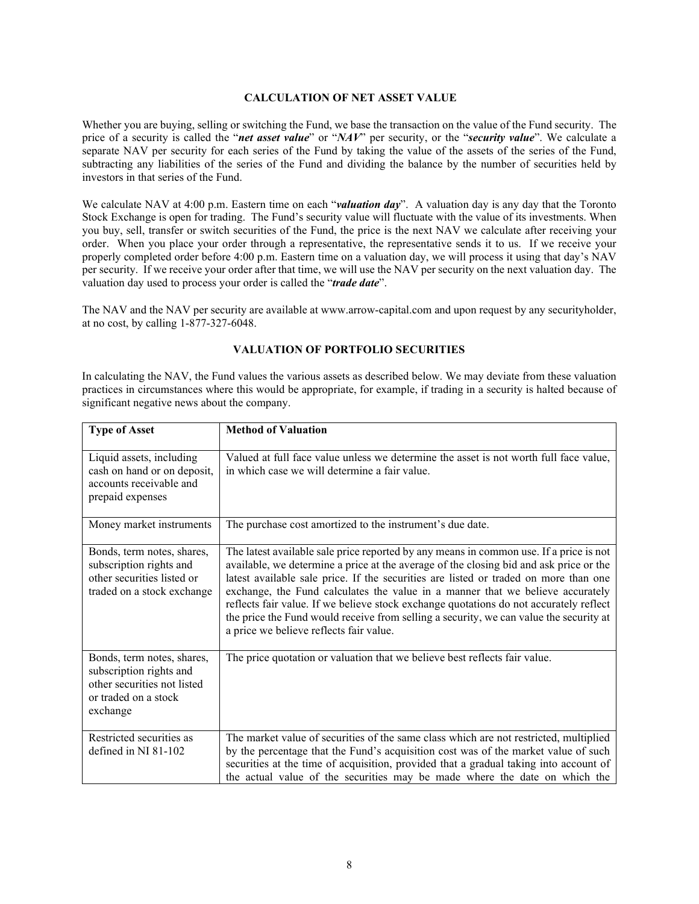#### <span id="page-7-0"></span>**CALCULATION OF NET ASSET VALUE**

Whether you are buying, selling or switching the Fund, we base the transaction on the value of the Fund security. The price of a security is called the "*net asset value*" or "*NAV*" per security, or the "*security value*". We calculate a separate NAV per security for each series of the Fund by taking the value of the assets of the series of the Fund, subtracting any liabilities of the series of the Fund and dividing the balance by the number of securities held by investors in that series of the Fund.

We calculate NAV at 4:00 p.m. Eastern time on each "*valuation day*". A valuation day is any day that the Toronto Stock Exchange is open for trading. The Fund's security value will fluctuate with the value of its investments. When you buy, sell, transfer or switch securities of the Fund, the price is the next NAV we calculate after receiving your order. When you place your order through a representative, the representative sends it to us. If we receive your properly completed order before 4:00 p.m. Eastern time on a valuation day, we will process it using that day's NAV per security. If we receive your order after that time, we will use the NAV per security on the next valuation day. The valuation day used to process your order is called the "*trade date*".

The NAV and the NAV per security are available at www.arrow-capital.com and upon request by any securityholder, at no cost, by calling 1-877-327-6048.

#### **VALUATION OF PORTFOLIO SECURITIES**

<span id="page-7-1"></span>In calculating the NAV, the Fund values the various assets as described below. We may deviate from these valuation practices in circumstances where this would be appropriate, for example, if trading in a security is halted because of significant negative news about the company.

| <b>Type of Asset</b>                                                                                                     | <b>Method of Valuation</b>                                                                                                                                                                                                                                                                                                                                                                                                                                                                                                                                                                |
|--------------------------------------------------------------------------------------------------------------------------|-------------------------------------------------------------------------------------------------------------------------------------------------------------------------------------------------------------------------------------------------------------------------------------------------------------------------------------------------------------------------------------------------------------------------------------------------------------------------------------------------------------------------------------------------------------------------------------------|
| Liquid assets, including<br>cash on hand or on deposit,<br>accounts receivable and<br>prepaid expenses                   | Valued at full face value unless we determine the asset is not worth full face value,<br>in which case we will determine a fair value.                                                                                                                                                                                                                                                                                                                                                                                                                                                    |
| Money market instruments                                                                                                 | The purchase cost amortized to the instrument's due date.                                                                                                                                                                                                                                                                                                                                                                                                                                                                                                                                 |
| Bonds, term notes, shares,<br>subscription rights and<br>other securities listed or<br>traded on a stock exchange        | The latest available sale price reported by any means in common use. If a price is not<br>available, we determine a price at the average of the closing bid and ask price or the<br>latest available sale price. If the securities are listed or traded on more than one<br>exchange, the Fund calculates the value in a manner that we believe accurately<br>reflects fair value. If we believe stock exchange quotations do not accurately reflect<br>the price the Fund would receive from selling a security, we can value the security at<br>a price we believe reflects fair value. |
| Bonds, term notes, shares,<br>subscription rights and<br>other securities not listed<br>or traded on a stock<br>exchange | The price quotation or valuation that we believe best reflects fair value.                                                                                                                                                                                                                                                                                                                                                                                                                                                                                                                |
| Restricted securities as<br>defined in NI 81-102                                                                         | The market value of securities of the same class which are not restricted, multiplied<br>by the percentage that the Fund's acquisition cost was of the market value of such<br>securities at the time of acquisition, provided that a gradual taking into account of<br>the actual value of the securities may be made where the date on which the                                                                                                                                                                                                                                        |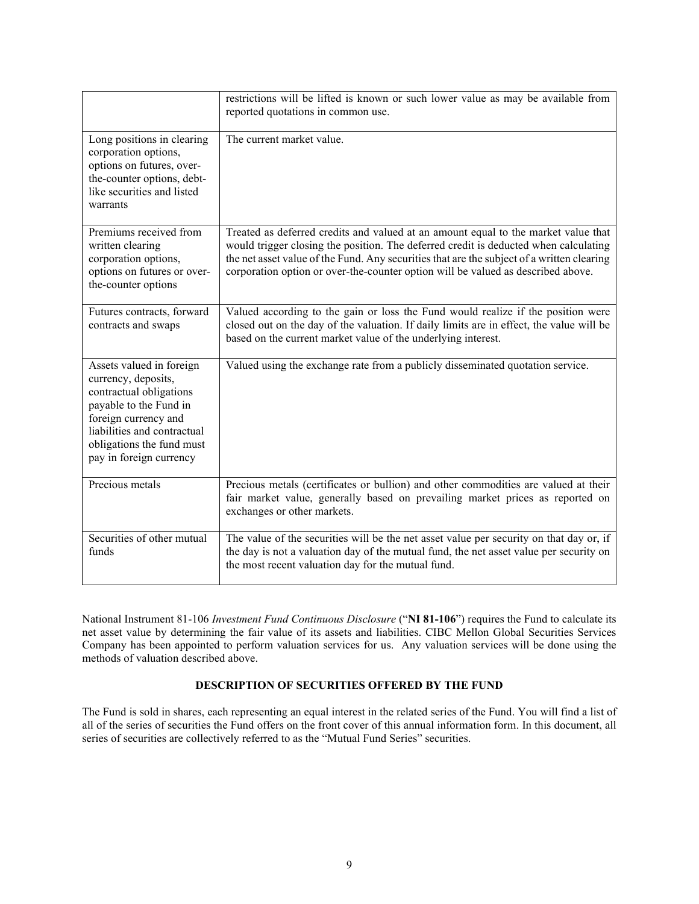|                                                                                                                                                                                                                     | restrictions will be lifted is known or such lower value as may be available from<br>reported quotations in common use.                                                                                                                                                                                                                                      |
|---------------------------------------------------------------------------------------------------------------------------------------------------------------------------------------------------------------------|--------------------------------------------------------------------------------------------------------------------------------------------------------------------------------------------------------------------------------------------------------------------------------------------------------------------------------------------------------------|
| Long positions in clearing<br>corporation options,<br>options on futures, over-<br>the-counter options, debt-<br>like securities and listed<br>warrants                                                             | The current market value.                                                                                                                                                                                                                                                                                                                                    |
| Premiums received from<br>written clearing<br>corporation options,<br>options on futures or over-<br>the-counter options                                                                                            | Treated as deferred credits and valued at an amount equal to the market value that<br>would trigger closing the position. The deferred credit is deducted when calculating<br>the net asset value of the Fund. Any securities that are the subject of a written clearing<br>corporation option or over-the-counter option will be valued as described above. |
| Futures contracts, forward<br>contracts and swaps                                                                                                                                                                   | Valued according to the gain or loss the Fund would realize if the position were<br>closed out on the day of the valuation. If daily limits are in effect, the value will be<br>based on the current market value of the underlying interest.                                                                                                                |
| Assets valued in foreign<br>currency, deposits,<br>contractual obligations<br>payable to the Fund in<br>foreign currency and<br>liabilities and contractual<br>obligations the fund must<br>pay in foreign currency | Valued using the exchange rate from a publicly disseminated quotation service.                                                                                                                                                                                                                                                                               |
| Precious metals                                                                                                                                                                                                     | Precious metals (certificates or bullion) and other commodities are valued at their<br>fair market value, generally based on prevailing market prices as reported on<br>exchanges or other markets.                                                                                                                                                          |
| Securities of other mutual<br>funds                                                                                                                                                                                 | The value of the securities will be the net asset value per security on that day or, if<br>the day is not a valuation day of the mutual fund, the net asset value per security on<br>the most recent valuation day for the mutual fund.                                                                                                                      |

National Instrument 81-106 *Investment Fund Continuous Disclosure* ("**NI 81-106**") requires the Fund to calculate its net asset value by determining the fair value of its assets and liabilities. CIBC Mellon Global Securities Services Company has been appointed to perform valuation services for us. Any valuation services will be done using the methods of valuation described above.

# **DESCRIPTION OF SECURITIES OFFERED BY THE FUND**

<span id="page-8-0"></span>The Fund is sold in shares, each representing an equal interest in the related series of the Fund. You will find a list of all of the series of securities the Fund offers on the front cover of this annual information form. In this document, all series of securities are collectively referred to as the "Mutual Fund Series" securities.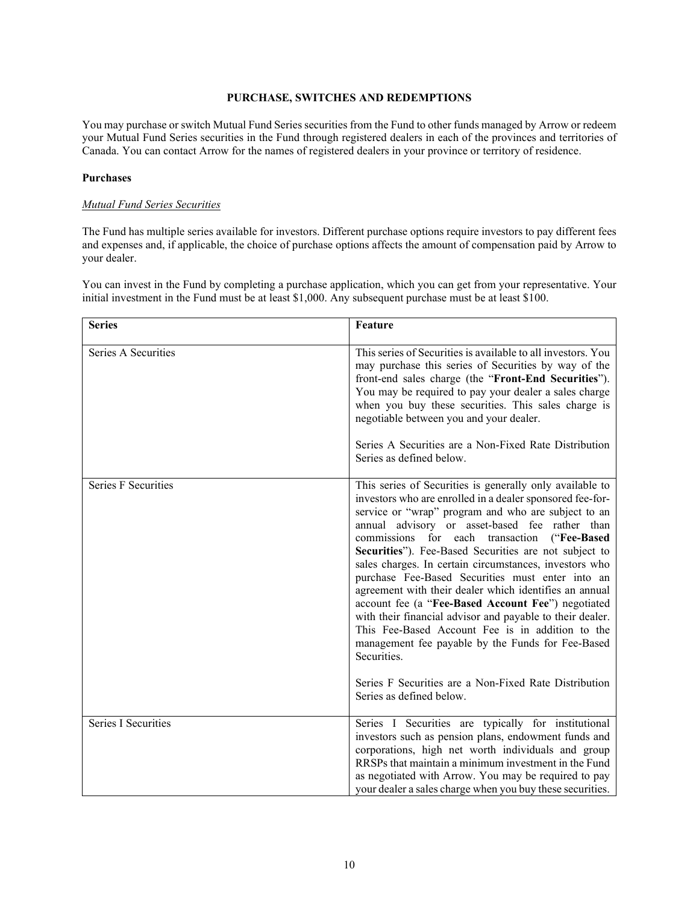#### **PURCHASE, SWITCHES AND REDEMPTIONS**

<span id="page-9-0"></span>You may purchase or switch Mutual Fund Series securities from the Fund to other funds managed by Arrow or redeem your Mutual Fund Series securities in the Fund through registered dealers in each of the provinces and territories of Canada. You can contact Arrow for the names of registered dealers in your province or territory of residence.

#### **Purchases**

#### *Mutual Fund Series Securities*

The Fund has multiple series available for investors. Different purchase options require investors to pay different fees and expenses and, if applicable, the choice of purchase options affects the amount of compensation paid by Arrow to your dealer.

You can invest in the Fund by completing a purchase application, which you can get from your representative. Your initial investment in the Fund must be at least \$1,000. Any subsequent purchase must be at least \$100.

| <b>Series</b>              | <b>Feature</b>                                                                                                                                                                                                                                                                                                                                                                                                                                                                                                                                                                                                                                                                                                                                                                                                                                        |  |
|----------------------------|-------------------------------------------------------------------------------------------------------------------------------------------------------------------------------------------------------------------------------------------------------------------------------------------------------------------------------------------------------------------------------------------------------------------------------------------------------------------------------------------------------------------------------------------------------------------------------------------------------------------------------------------------------------------------------------------------------------------------------------------------------------------------------------------------------------------------------------------------------|--|
| Series A Securities        | This series of Securities is available to all investors. You<br>may purchase this series of Securities by way of the<br>front-end sales charge (the "Front-End Securities").<br>You may be required to pay your dealer a sales charge<br>when you buy these securities. This sales charge is<br>negotiable between you and your dealer.<br>Series A Securities are a Non-Fixed Rate Distribution<br>Series as defined below.                                                                                                                                                                                                                                                                                                                                                                                                                          |  |
| <b>Series F Securities</b> | This series of Securities is generally only available to<br>investors who are enrolled in a dealer sponsored fee-for-<br>service or "wrap" program and who are subject to an<br>annual advisory or asset-based fee rather than<br>commissions for each<br>transaction<br>("Fee-Based<br>Securities"). Fee-Based Securities are not subject to<br>sales charges. In certain circumstances, investors who<br>purchase Fee-Based Securities must enter into an<br>agreement with their dealer which identifies an annual<br>account fee (a "Fee-Based Account Fee") negotiated<br>with their financial advisor and payable to their dealer.<br>This Fee-Based Account Fee is in addition to the<br>management fee payable by the Funds for Fee-Based<br>Securities.<br>Series F Securities are a Non-Fixed Rate Distribution<br>Series as defined below. |  |
| <b>Series I Securities</b> | Series I Securities are typically for institutional<br>investors such as pension plans, endowment funds and<br>corporations, high net worth individuals and group<br>RRSPs that maintain a minimum investment in the Fund<br>as negotiated with Arrow. You may be required to pay<br>your dealer a sales charge when you buy these securities.                                                                                                                                                                                                                                                                                                                                                                                                                                                                                                        |  |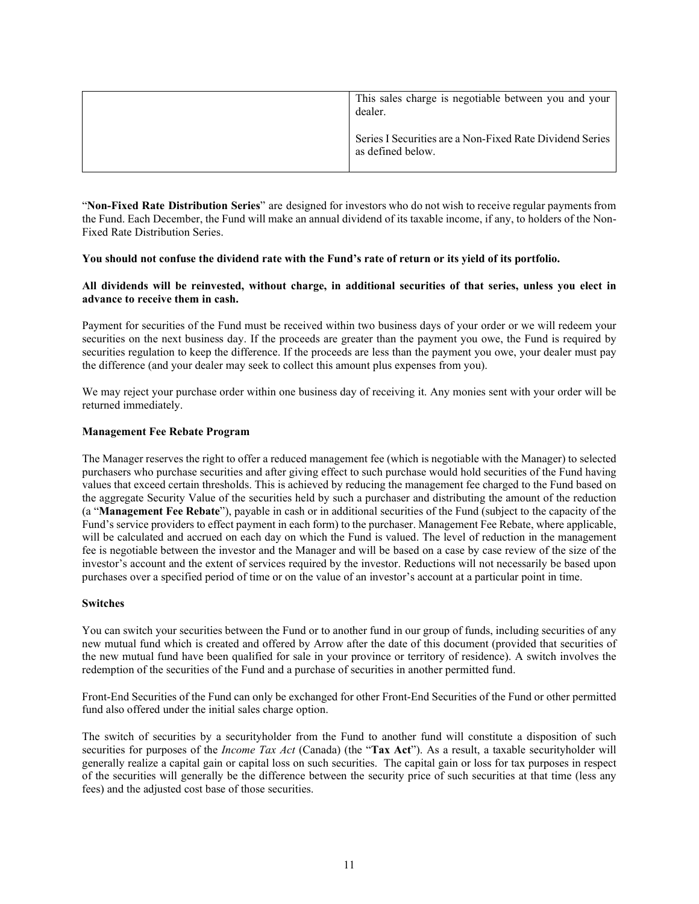| This sales charge is negotiable between you and your<br>dealer.               |
|-------------------------------------------------------------------------------|
| Series I Securities are a Non-Fixed Rate Dividend Series<br>as defined below. |

"**Non-Fixed Rate Distribution Series**" are designed for investors who do not wish to receive regular paymentsfrom the Fund. Each December, the Fund will make an annual dividend of its taxable income, if any, to holders of the Non-Fixed Rate Distribution Series.

#### **You should not confuse the dividend rate with the Fund's rate of return or its yield of its portfolio.**

# **All dividends will be reinvested, without charge, in additional securities of that series, unless you elect in advance to receive them in cash.**

Payment for securities of the Fund must be received within two business days of your order or we will redeem your securities on the next business day. If the proceeds are greater than the payment you owe, the Fund is required by securities regulation to keep the difference. If the proceeds are less than the payment you owe, your dealer must pay the difference (and your dealer may seek to collect this amount plus expenses from you).

We may reject your purchase order within one business day of receiving it. Any monies sent with your order will be returned immediately.

#### **Management Fee Rebate Program**

The Manager reserves the right to offer a reduced management fee (which is negotiable with the Manager) to selected purchasers who purchase securities and after giving effect to such purchase would hold securities of the Fund having values that exceed certain thresholds. This is achieved by reducing the management fee charged to the Fund based on the aggregate Security Value of the securities held by such a purchaser and distributing the amount of the reduction (a "**Management Fee Rebate**"), payable in cash or in additional securities of the Fund (subject to the capacity of the Fund's service providers to effect payment in each form) to the purchaser. Management Fee Rebate, where applicable, will be calculated and accrued on each day on which the Fund is valued. The level of reduction in the management fee is negotiable between the investor and the Manager and will be based on a case by case review of the size of the investor's account and the extent of services required by the investor. Reductions will not necessarily be based upon purchases over a specified period of time or on the value of an investor's account at a particular point in time.

#### **Switches**

You can switch your securities between the Fund or to another fund in our group of funds, including securities of any new mutual fund which is created and offered by Arrow after the date of this document (provided that securities of the new mutual fund have been qualified for sale in your province or territory of residence). A switch involves the redemption of the securities of the Fund and a purchase of securities in another permitted fund.

Front-End Securities of the Fund can only be exchanged for other Front-End Securities of the Fund or other permitted fund also offered under the initial sales charge option.

The switch of securities by a securityholder from the Fund to another fund will constitute a disposition of such securities for purposes of the *Income Tax Act* (Canada) (the "**Tax Act**"). As a result, a taxable securityholder will generally realize a capital gain or capital loss on such securities. The capital gain or loss for tax purposes in respect of the securities will generally be the difference between the security price of such securities at that time (less any fees) and the adjusted cost base of those securities.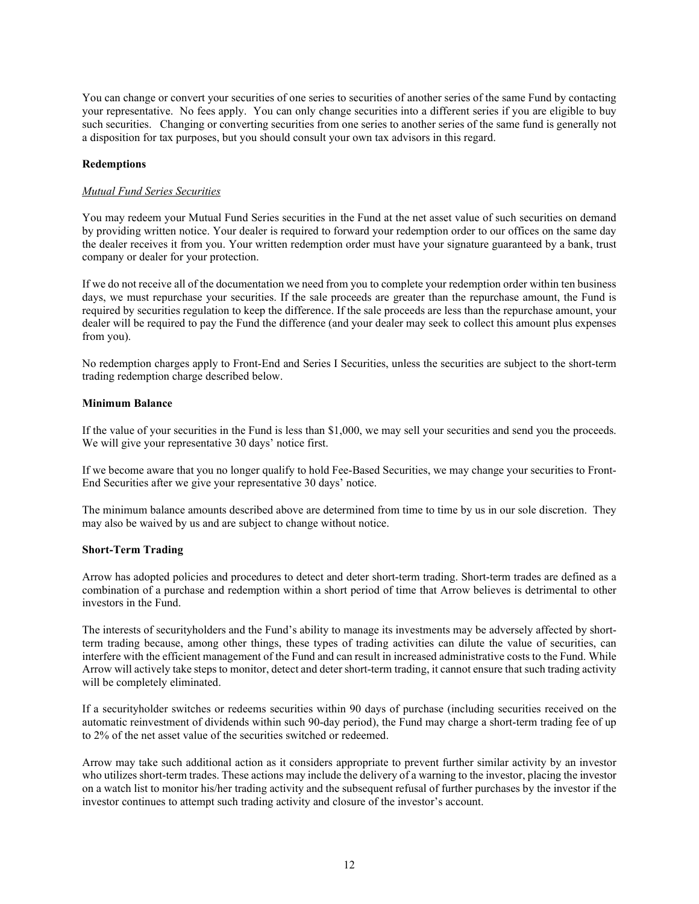You can change or convert your securities of one series to securities of another series of the same Fund by contacting your representative. No fees apply. You can only change securities into a different series if you are eligible to buy such securities. Changing or converting securities from one series to another series of the same fund is generally not a disposition for tax purposes, but you should consult your own tax advisors in this regard.

#### **Redemptions**

#### *Mutual Fund Series Securities*

You may redeem your Mutual Fund Series securities in the Fund at the net asset value of such securities on demand by providing written notice. Your dealer is required to forward your redemption order to our offices on the same day the dealer receives it from you. Your written redemption order must have your signature guaranteed by a bank, trust company or dealer for your protection.

If we do not receive all of the documentation we need from you to complete your redemption order within ten business days, we must repurchase your securities. If the sale proceeds are greater than the repurchase amount, the Fund is required by securities regulation to keep the difference. If the sale proceeds are less than the repurchase amount, your dealer will be required to pay the Fund the difference (and your dealer may seek to collect this amount plus expenses from you).

No redemption charges apply to Front-End and Series I Securities, unless the securities are subject to the short-term trading redemption charge described below.

#### **Minimum Balance**

If the value of your securities in the Fund is less than \$1,000, we may sell your securities and send you the proceeds. We will give your representative 30 days' notice first.

If we become aware that you no longer qualify to hold Fee-Based Securities, we may change your securities to Front-End Securities after we give your representative 30 days' notice.

The minimum balance amounts described above are determined from time to time by us in our sole discretion. They may also be waived by us and are subject to change without notice.

#### **Short-Term Trading**

Arrow has adopted policies and procedures to detect and deter short-term trading. Short-term trades are defined as a combination of a purchase and redemption within a short period of time that Arrow believes is detrimental to other investors in the Fund.

The interests of securityholders and the Fund's ability to manage its investments may be adversely affected by shortterm trading because, among other things, these types of trading activities can dilute the value of securities, can interfere with the efficient management of the Fund and can result in increased administrative costs to the Fund. While Arrow will actively take steps to monitor, detect and deter short-term trading, it cannot ensure that such trading activity will be completely eliminated.

If a securityholder switches or redeems securities within 90 days of purchase (including securities received on the automatic reinvestment of dividends within such 90-day period), the Fund may charge a short-term trading fee of up to 2% of the net asset value of the securities switched or redeemed.

Arrow may take such additional action as it considers appropriate to prevent further similar activity by an investor who utilizes short-term trades. These actions may include the delivery of a warning to the investor, placing the investor on a watch list to monitor his/her trading activity and the subsequent refusal of further purchases by the investor if the investor continues to attempt such trading activity and closure of the investor's account.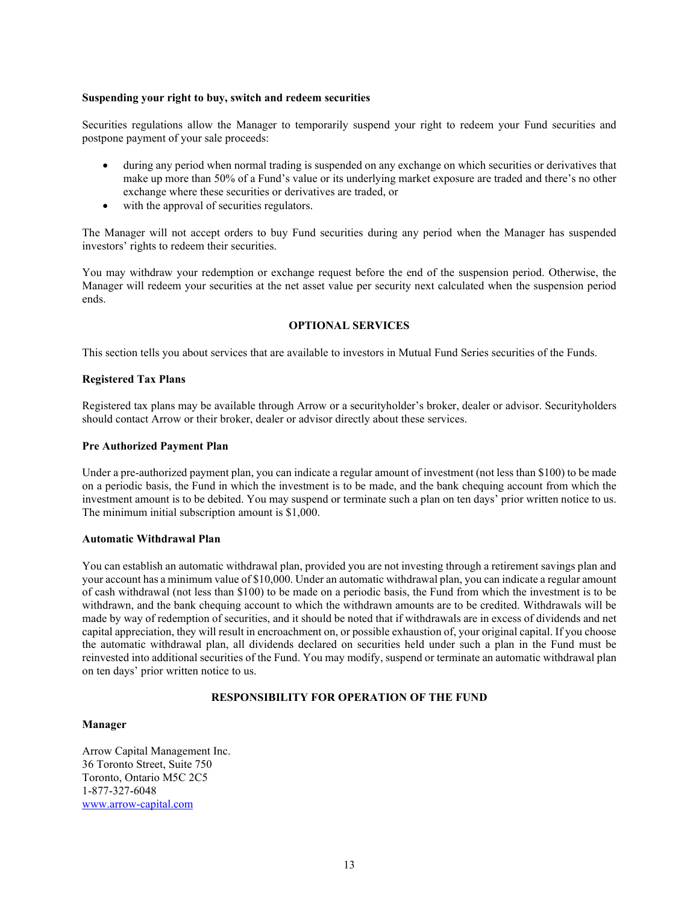#### **Suspending your right to buy, switch and redeem securities**

Securities regulations allow the Manager to temporarily suspend your right to redeem your Fund securities and postpone payment of your sale proceeds:

- during any period when normal trading is suspended on any exchange on which securities or derivatives that make up more than 50% of a Fund's value or its underlying market exposure are traded and there's no other exchange where these securities or derivatives are traded, or
- with the approval of securities regulators.

The Manager will not accept orders to buy Fund securities during any period when the Manager has suspended investors' rights to redeem their securities.

You may withdraw your redemption or exchange request before the end of the suspension period. Otherwise, the Manager will redeem your securities at the net asset value per security next calculated when the suspension period ends.

#### **OPTIONAL SERVICES**

<span id="page-12-0"></span>This section tells you about services that are available to investors in Mutual Fund Series securities of the Funds.

#### **Registered Tax Plans**

Registered tax plans may be available through Arrow or a securityholder's broker, dealer or advisor. Securityholders should contact Arrow or their broker, dealer or advisor directly about these services.

#### **Pre Authorized Payment Plan**

Under a pre-authorized payment plan, you can indicate a regular amount of investment (not less than \$100) to be made on a periodic basis, the Fund in which the investment is to be made, and the bank chequing account from which the investment amount is to be debited. You may suspend or terminate such a plan on ten days' prior written notice to us. The minimum initial subscription amount is \$1,000.

#### **Automatic Withdrawal Plan**

You can establish an automatic withdrawal plan, provided you are not investing through a retirement savings plan and your account has a minimum value of \$10,000. Under an automatic withdrawal plan, you can indicate a regular amount of cash withdrawal (not less than \$100) to be made on a periodic basis, the Fund from which the investment is to be withdrawn, and the bank chequing account to which the withdrawn amounts are to be credited. Withdrawals will be made by way of redemption of securities, and it should be noted that if withdrawals are in excess of dividends and net capital appreciation, they will result in encroachment on, or possible exhaustion of, your original capital. If you choose the automatic withdrawal plan, all dividends declared on securities held under such a plan in the Fund must be reinvested into additional securities of the Fund. You may modify, suspend or terminate an automatic withdrawal plan on ten days' prior written notice to us.

# **RESPONSIBILITY FOR OPERATION OF THE FUND**

#### <span id="page-12-1"></span>**Manager**

Arrow Capital Management Inc. 36 Toronto Street, Suite 750 Toronto, Ontario M5C 2C5 1-877-327-6048 [www.arrow-capital.com](http://www.arrow-capital.com/)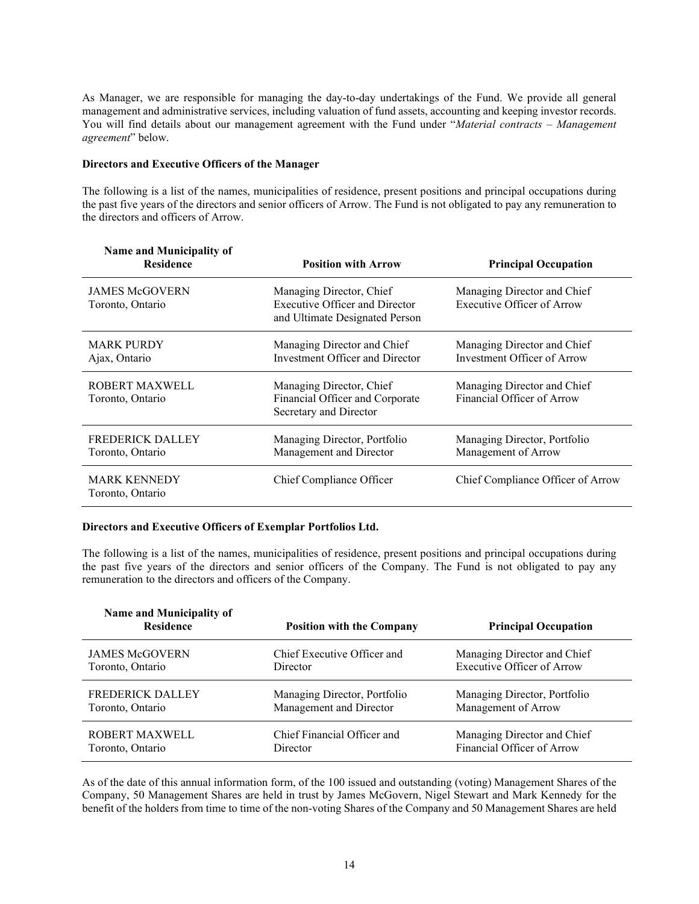As Manager, we are responsible for managing the day-to-day undertakings of the Fund. We provide all general management and administrative services, including valuation of fund assets, accounting and keeping investor records. You will find details about our management agreement with the Fund under "*Material contracts – Management agreement*" below.

#### **Directors and Executive Officers of the Manager**

The following is a list of the names, municipalities of residence, present positions and principal occupations during the past five years of the directors and senior officers of Arrow. The Fund is not obligated to pay any remuneration to the directors and officers of Arrow.

| Name and Municipality of<br><b>Residence</b><br><b>Position with Arrow</b> |                                                                                                     | <b>Principal Occupation</b>                                      |
|----------------------------------------------------------------------------|-----------------------------------------------------------------------------------------------------|------------------------------------------------------------------|
| <b>JAMES McGOVERN</b><br>Toronto, Ontario                                  | Managing Director, Chief<br><b>Executive Officer and Director</b><br>and Ultimate Designated Person | Managing Director and Chief<br><b>Executive Officer of Arrow</b> |
| <b>MARK PURDY</b><br>Ajax, Ontario                                         | Managing Director and Chief<br>Investment Officer and Director                                      | Managing Director and Chief<br>Investment Officer of Arrow       |
| ROBERT MAXWELL<br>Toronto, Ontario                                         | Managing Director, Chief<br>Financial Officer and Corporate<br>Secretary and Director               | Managing Director and Chief<br>Financial Officer of Arrow        |
| <b>FREDERICK DALLEY</b><br>Toronto, Ontario                                | Managing Director, Portfolio<br>Management and Director                                             | Managing Director, Portfolio<br>Management of Arrow              |
| <b>MARK KENNEDY</b><br>Toronto, Ontario                                    | Chief Compliance Officer                                                                            | Chief Compliance Officer of Arrow                                |

# **Directors and Executive Officers of Exemplar Portfolios Ltd.**

The following is a list of the names, municipalities of residence, present positions and principal occupations during the past five years of the directors and senior officers of the Company. The Fund is not obligated to pay any remuneration to the directors and officers of the Company.

| <b>Name and Municipality of</b><br><b>Residence</b><br><b>Position with the Company</b> |                              | <b>Principal Occupation</b>  |  |  |
|-----------------------------------------------------------------------------------------|------------------------------|------------------------------|--|--|
| <b>JAMES McGOVERN</b>                                                                   | Chief Executive Officer and  | Managing Director and Chief  |  |  |
| Toronto, Ontario                                                                        | Director                     | Executive Officer of Arrow   |  |  |
| <b>FREDERICK DALLEY</b>                                                                 | Managing Director, Portfolio | Managing Director, Portfolio |  |  |
| Toronto, Ontario                                                                        | Management and Director      | Management of Arrow          |  |  |
| ROBERT MAXWELL                                                                          | Chief Financial Officer and  | Managing Director and Chief  |  |  |
| Toronto, Ontario                                                                        | Director                     | Financial Officer of Arrow   |  |  |

As of the date of this annual information form, of the 100 issued and outstanding (voting) Management Shares of the Company, 50 Management Shares are held in trust by James McGovern, Nigel Stewart and Mark Kennedy for the benefit of the holders from time to time of the non-voting Shares of the Company and 50 Management Shares are held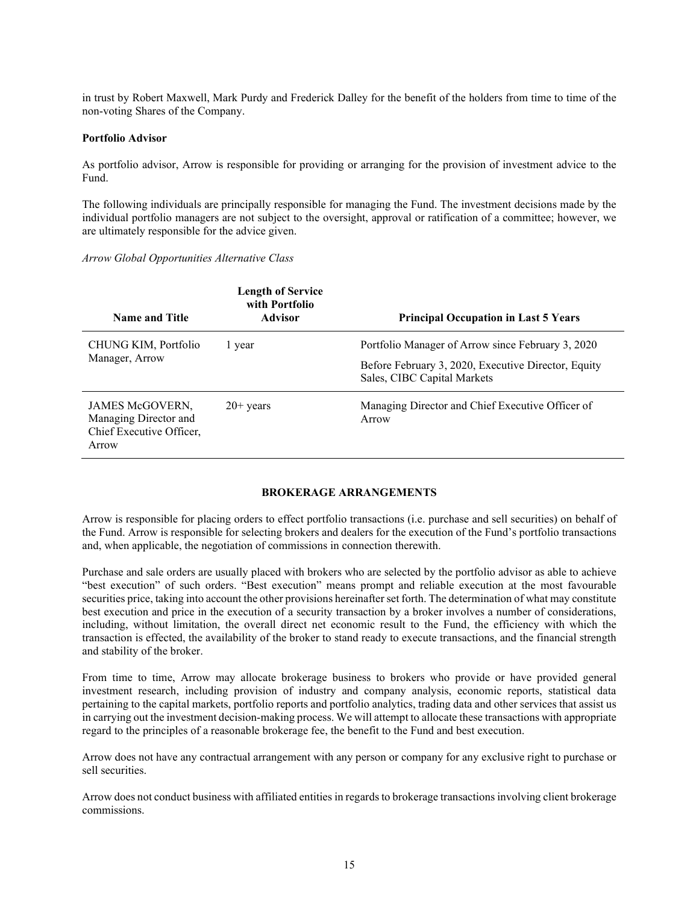in trust by Robert Maxwell, Mark Purdy and Frederick Dalley for the benefit of the holders from time to time of the non-voting Shares of the Company.

#### **Portfolio Advisor**

As portfolio advisor, Arrow is responsible for providing or arranging for the provision of investment advice to the Fund.

The following individuals are principally responsible for managing the Fund. The investment decisions made by the individual portfolio managers are not subject to the oversight, approval or ratification of a committee; however, we are ultimately responsible for the advice given.

#### *Arrow Global Opportunities Alternative Class*

| <b>Name and Title</b>                                                         | <b>Length of Service</b><br>with Portfolio<br><b>Advisor</b> | <b>Principal Occupation in Last 5 Years</b>                                        |
|-------------------------------------------------------------------------------|--------------------------------------------------------------|------------------------------------------------------------------------------------|
| CHUNG KIM, Portfolio                                                          | l year                                                       | Portfolio Manager of Arrow since February 3, 2020                                  |
| Manager, Arrow                                                                |                                                              | Before February 3, 2020, Executive Director, Equity<br>Sales, CIBC Capital Markets |
| JAMES McGOVERN,<br>Managing Director and<br>Chief Executive Officer,<br>Arrow | $20+$ years                                                  | Managing Director and Chief Executive Officer of<br>Arrow                          |

# **BROKERAGE ARRANGEMENTS**

<span id="page-14-0"></span>Arrow is responsible for placing orders to effect portfolio transactions (i.e. purchase and sell securities) on behalf of the Fund. Arrow is responsible for selecting brokers and dealers for the execution of the Fund's portfolio transactions and, when applicable, the negotiation of commissions in connection therewith.

Purchase and sale orders are usually placed with brokers who are selected by the portfolio advisor as able to achieve "best execution" of such orders. "Best execution" means prompt and reliable execution at the most favourable securities price, taking into account the other provisions hereinafter set forth. The determination of what may constitute best execution and price in the execution of a security transaction by a broker involves a number of considerations, including, without limitation, the overall direct net economic result to the Fund, the efficiency with which the transaction is effected, the availability of the broker to stand ready to execute transactions, and the financial strength and stability of the broker.

From time to time, Arrow may allocate brokerage business to brokers who provide or have provided general investment research, including provision of industry and company analysis, economic reports, statistical data pertaining to the capital markets, portfolio reports and portfolio analytics, trading data and other services that assist us in carrying out the investment decision-making process. We will attempt to allocate these transactions with appropriate regard to the principles of a reasonable brokerage fee, the benefit to the Fund and best execution.

Arrow does not have any contractual arrangement with any person or company for any exclusive right to purchase or sell securities.

Arrow does not conduct business with affiliated entities in regards to brokerage transactions involving client brokerage commissions.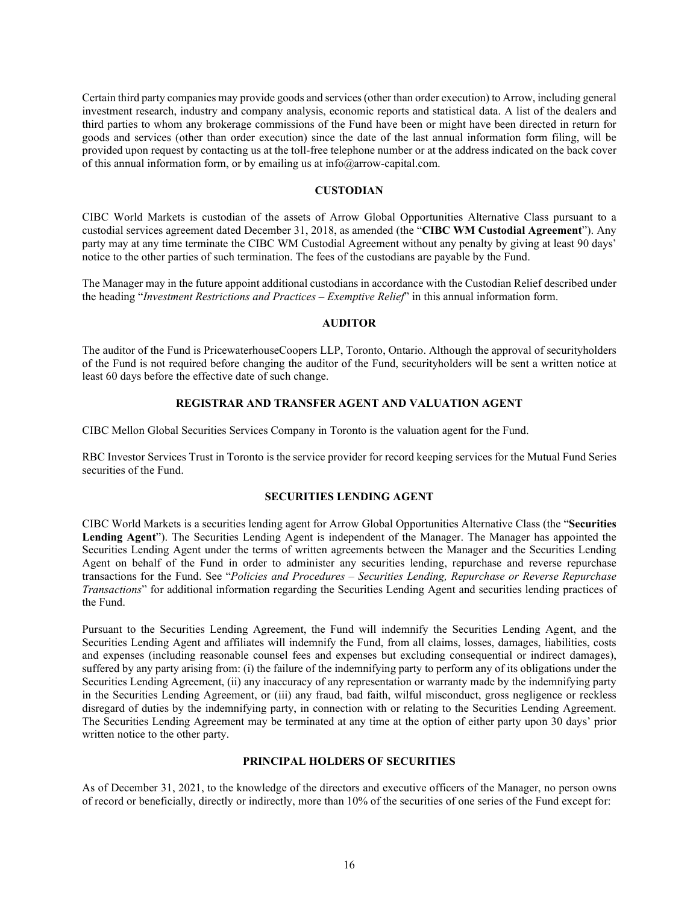Certain third party companies may provide goods and services (other than order execution) to Arrow, including general investment research, industry and company analysis, economic reports and statistical data. A list of the dealers and third parties to whom any brokerage commissions of the Fund have been or might have been directed in return for goods and services (other than order execution) since the date of the last annual information form filing, will be provided upon request by contacting us at the toll-free telephone number or at the address indicated on the back cover of this annual information form, or by emailing us at info@arrow-capital.com.

#### **CUSTODIAN**

<span id="page-15-0"></span>CIBC World Markets is custodian of the assets of Arrow Global Opportunities Alternative Class pursuant to a custodial services agreement dated December 31, 2018, as amended (the "**CIBC WM Custodial Agreement**"). Any party may at any time terminate the CIBC WM Custodial Agreement without any penalty by giving at least 90 days' notice to the other parties of such termination. The fees of the custodians are payable by the Fund.

The Manager may in the future appoint additional custodians in accordance with the Custodian Relief described under the heading "*Investment Restrictions and Practices – Exemptive Relief*" in this annual information form.

#### **AUDITOR**

<span id="page-15-1"></span>The auditor of the Fund is PricewaterhouseCoopers LLP, Toronto, Ontario. Although the approval of securityholders of the Fund is not required before changing the auditor of the Fund, securityholders will be sent a written notice at least 60 days before the effective date of such change.

#### **REGISTRAR AND TRANSFER AGENT AND VALUATION AGENT**

<span id="page-15-2"></span>CIBC Mellon Global Securities Services Company in Toronto is the valuation agent for the Fund.

RBC Investor Services Trust in Toronto is the service provider for record keeping services for the Mutual Fund Series securities of the Fund.

#### **SECURITIES LENDING AGENT**

<span id="page-15-3"></span>CIBC World Markets is a securities lending agent for Arrow Global Opportunities Alternative Class (the "**Securities Lending Agent**"). The Securities Lending Agent is independent of the Manager. The Manager has appointed the Securities Lending Agent under the terms of written agreements between the Manager and the Securities Lending Agent on behalf of the Fund in order to administer any securities lending, repurchase and reverse repurchase transactions for the Fund. See "*Policies and Procedures – Securities Lending, Repurchase or Reverse Repurchase Transactions*" for additional information regarding the Securities Lending Agent and securities lending practices of the Fund.

Pursuant to the Securities Lending Agreement, the Fund will indemnify the Securities Lending Agent, and the Securities Lending Agent and affiliates will indemnify the Fund, from all claims, losses, damages, liabilities, costs and expenses (including reasonable counsel fees and expenses but excluding consequential or indirect damages), suffered by any party arising from: (i) the failure of the indemnifying party to perform any of its obligations under the Securities Lending Agreement, (ii) any inaccuracy of any representation or warranty made by the indemnifying party in the Securities Lending Agreement, or (iii) any fraud, bad faith, wilful misconduct, gross negligence or reckless disregard of duties by the indemnifying party, in connection with or relating to the Securities Lending Agreement. The Securities Lending Agreement may be terminated at any time at the option of either party upon 30 days' prior written notice to the other party.

#### **PRINCIPAL HOLDERS OF SECURITIES**

<span id="page-15-4"></span>As of December 31, 2021, to the knowledge of the directors and executive officers of the Manager, no person owns of record or beneficially, directly or indirectly, more than 10% of the securities of one series of the Fund except for: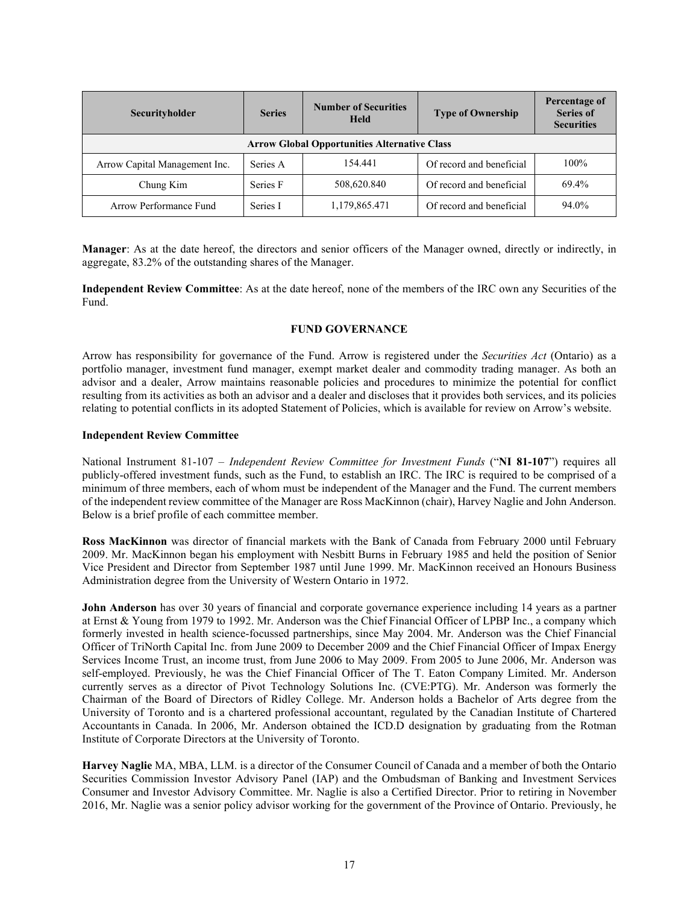| Securityholder                                      | <b>Series</b> | <b>Number of Securities</b><br><b>Held</b> | <b>Type of Ownership</b> | Percentage of<br><b>Series of</b><br><b>Securities</b> |
|-----------------------------------------------------|---------------|--------------------------------------------|--------------------------|--------------------------------------------------------|
| <b>Arrow Global Opportunities Alternative Class</b> |               |                                            |                          |                                                        |
| Arrow Capital Management Inc.                       | Series A      | 154.441                                    | Of record and beneficial | $100\%$                                                |
| Chung Kim                                           | Series F      | 508,620.840                                | Of record and beneficial | 69.4%                                                  |
| Arrow Performance Fund                              | Series I      | 1,179,865.471                              | Of record and beneficial | 94.0%                                                  |

**Manager**: As at the date hereof, the directors and senior officers of the Manager owned, directly or indirectly, in aggregate, 83.2% of the outstanding shares of the Manager.

**Independent Review Committee**: As at the date hereof, none of the members of the IRC own any Securities of the Fund.

# **FUND GOVERNANCE**

<span id="page-16-0"></span>Arrow has responsibility for governance of the Fund. Arrow is registered under the *Securities Act* (Ontario) as a portfolio manager, investment fund manager, exempt market dealer and commodity trading manager. As both an advisor and a dealer, Arrow maintains reasonable policies and procedures to minimize the potential for conflict resulting from its activities as both an advisor and a dealer and discloses that it provides both services, and its policies relating to potential conflicts in its adopted Statement of Policies, which is available for review on Arrow's website.

#### **Independent Review Committee**

National Instrument 81-107 – *Independent Review Committee for Investment Funds* ("**NI 81-107**") requires all publicly-offered investment funds, such as the Fund, to establish an IRC. The IRC is required to be comprised of a minimum of three members, each of whom must be independent of the Manager and the Fund. The current members of the independent review committee of the Manager are Ross MacKinnon (chair), Harvey Naglie and John Anderson. Below is a brief profile of each committee member.

**Ross MacKinnon** was director of financial markets with the Bank of Canada from February 2000 until February 2009. Mr. MacKinnon began his employment with Nesbitt Burns in February 1985 and held the position of Senior Vice President and Director from September 1987 until June 1999. Mr. MacKinnon received an Honours Business Administration degree from the University of Western Ontario in 1972.

**John Anderson** has over 30 years of financial and corporate governance experience including 14 years as a partner at Ernst & Young from 1979 to 1992. Mr. Anderson was the Chief Financial Officer of LPBP Inc., a company which formerly invested in health science-focussed partnerships, since May 2004. Mr. Anderson was the Chief Financial Officer of TriNorth Capital Inc. from June 2009 to December 2009 and the Chief Financial Officer of Impax Energy Services Income Trust, an income trust, from June 2006 to May 2009. From 2005 to June 2006, Mr. Anderson was self-employed. Previously, he was the Chief Financial Officer of The T. Eaton Company Limited. Mr. Anderson currently serves as a director of Pivot Technology Solutions Inc. (CVE:PTG). Mr. Anderson was formerly the Chairman of the Board of Directors of Ridley College. Mr. Anderson holds a Bachelor of Arts degree from the University of Toronto and is a chartered professional accountant, regulated by the Canadian Institute of Chartered Accountants in Canada. In 2006, Mr. Anderson obtained the ICD.D designation by graduating from the Rotman Institute of Corporate Directors at the University of Toronto.

**Harvey Naglie** MA, MBA, LLM. is a director of the Consumer Council of Canada and a member of both the Ontario Securities Commission Investor Advisory Panel (IAP) and the Ombudsman of Banking and Investment Services Consumer and Investor Advisory Committee. Mr. Naglie is also a Certified Director. Prior to retiring in November 2016, Mr. Naglie was a senior policy advisor working for the government of the Province of Ontario. Previously, he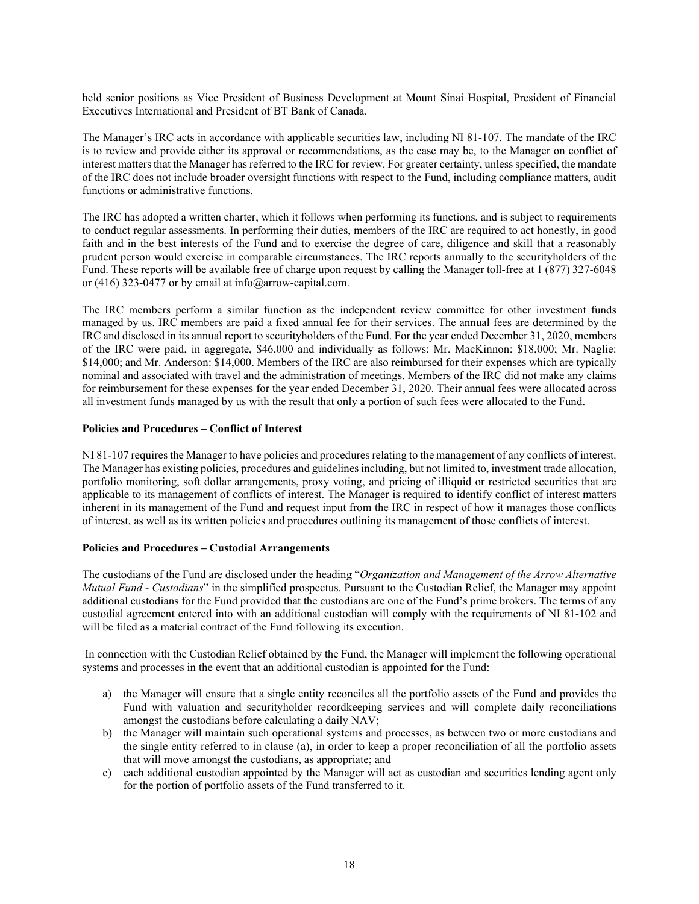held senior positions as Vice President of Business Development at Mount Sinai Hospital, President of Financial Executives International and President of BT Bank of Canada.

The Manager's IRC acts in accordance with applicable securities law, including NI 81-107. The mandate of the IRC is to review and provide either its approval or recommendations, as the case may be, to the Manager on conflict of interest matters that the Manager has referred to the IRC for review. For greater certainty, unless specified, the mandate of the IRC does not include broader oversight functions with respect to the Fund, including compliance matters, audit functions or administrative functions.

The IRC has adopted a written charter, which it follows when performing its functions, and is subject to requirements to conduct regular assessments. In performing their duties, members of the IRC are required to act honestly, in good faith and in the best interests of the Fund and to exercise the degree of care, diligence and skill that a reasonably prudent person would exercise in comparable circumstances. The IRC reports annually to the securityholders of the Fund. These reports will be available free of charge upon request by calling the Manager toll-free at 1 (877) 327-6048 or (416) 323-0477 or by email at info@arrow-capital.com.

The IRC members perform a similar function as the independent review committee for other investment funds managed by us. IRC members are paid a fixed annual fee for their services. The annual fees are determined by the IRC and disclosed in its annual report to securityholders of the Fund. For the year ended December 31, 2020, members of the IRC were paid, in aggregate, \$46,000 and individually as follows: Mr. MacKinnon: \$18,000; Mr. Naglie: \$14,000; and Mr. Anderson: \$14,000. Members of the IRC are also reimbursed for their expenses which are typically nominal and associated with travel and the administration of meetings. Members of the IRC did not make any claims for reimbursement for these expenses for the year ended December 31, 2020. Their annual fees were allocated across all investment funds managed by us with the result that only a portion of such fees were allocated to the Fund.

#### **Policies and Procedures – Conflict of Interest**

NI 81-107 requires the Manager to have policies and procedures relating to the management of any conflicts of interest. The Manager has existing policies, procedures and guidelines including, but not limited to, investment trade allocation, portfolio monitoring, soft dollar arrangements, proxy voting, and pricing of illiquid or restricted securities that are applicable to its management of conflicts of interest. The Manager is required to identify conflict of interest matters inherent in its management of the Fund and request input from the IRC in respect of how it manages those conflicts of interest, as well as its written policies and procedures outlining its management of those conflicts of interest.

# **Policies and Procedures – Custodial Arrangements**

The custodians of the Fund are disclosed under the heading "*Organization and Management of the Arrow Alternative Mutual Fund - Custodians*" in the simplified prospectus. Pursuant to the Custodian Relief, the Manager may appoint additional custodians for the Fund provided that the custodians are one of the Fund's prime brokers. The terms of any custodial agreement entered into with an additional custodian will comply with the requirements of NI 81-102 and will be filed as a material contract of the Fund following its execution.

In connection with the Custodian Relief obtained by the Fund, the Manager will implement the following operational systems and processes in the event that an additional custodian is appointed for the Fund:

- a) the Manager will ensure that a single entity reconciles all the portfolio assets of the Fund and provides the Fund with valuation and securityholder recordkeeping services and will complete daily reconciliations amongst the custodians before calculating a daily NAV;
- b) the Manager will maintain such operational systems and processes, as between two or more custodians and the single entity referred to in clause (a), in order to keep a proper reconciliation of all the portfolio assets that will move amongst the custodians, as appropriate; and
- c) each additional custodian appointed by the Manager will act as custodian and securities lending agent only for the portion of portfolio assets of the Fund transferred to it.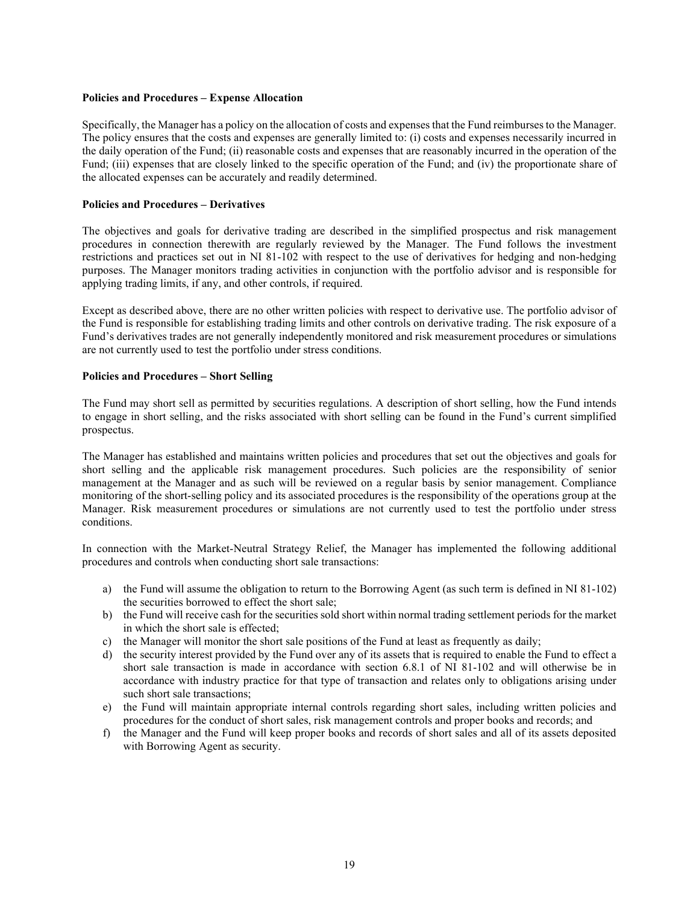#### **Policies and Procedures – Expense Allocation**

Specifically, the Manager has a policy on the allocation of costs and expenses that the Fund reimbursesto the Manager. The policy ensures that the costs and expenses are generally limited to: (i) costs and expenses necessarily incurred in the daily operation of the Fund; (ii) reasonable costs and expenses that are reasonably incurred in the operation of the Fund; (iii) expenses that are closely linked to the specific operation of the Fund; and (iv) the proportionate share of the allocated expenses can be accurately and readily determined.

#### **Policies and Procedures – Derivatives**

The objectives and goals for derivative trading are described in the simplified prospectus and risk management procedures in connection therewith are regularly reviewed by the Manager. The Fund follows the investment restrictions and practices set out in NI 81-102 with respect to the use of derivatives for hedging and non-hedging purposes. The Manager monitors trading activities in conjunction with the portfolio advisor and is responsible for applying trading limits, if any, and other controls, if required.

Except as described above, there are no other written policies with respect to derivative use. The portfolio advisor of the Fund is responsible for establishing trading limits and other controls on derivative trading. The risk exposure of a Fund's derivatives trades are not generally independently monitored and risk measurement procedures or simulations are not currently used to test the portfolio under stress conditions.

#### **Policies and Procedures – Short Selling**

The Fund may short sell as permitted by securities regulations. A description of short selling, how the Fund intends to engage in short selling, and the risks associated with short selling can be found in the Fund's current simplified prospectus.

The Manager has established and maintains written policies and procedures that set out the objectives and goals for short selling and the applicable risk management procedures. Such policies are the responsibility of senior management at the Manager and as such will be reviewed on a regular basis by senior management. Compliance monitoring of the short-selling policy and its associated procedures is the responsibility of the operations group at the Manager. Risk measurement procedures or simulations are not currently used to test the portfolio under stress conditions.

In connection with the Market-Neutral Strategy Relief, the Manager has implemented the following additional procedures and controls when conducting short sale transactions:

- a) the Fund will assume the obligation to return to the Borrowing Agent (as such term is defined in NI 81-102) the securities borrowed to effect the short sale;
- b) the Fund will receive cash for the securities sold short within normal trading settlement periods for the market in which the short sale is effected;
- c) the Manager will monitor the short sale positions of the Fund at least as frequently as daily;
- d) the security interest provided by the Fund over any of its assets that is required to enable the Fund to effect a short sale transaction is made in accordance with section 6.8.1 of NI 81-102 and will otherwise be in accordance with industry practice for that type of transaction and relates only to obligations arising under such short sale transactions;
- e) the Fund will maintain appropriate internal controls regarding short sales, including written policies and procedures for the conduct of short sales, risk management controls and proper books and records; and
- f) the Manager and the Fund will keep proper books and records of short sales and all of its assets deposited with Borrowing Agent as security.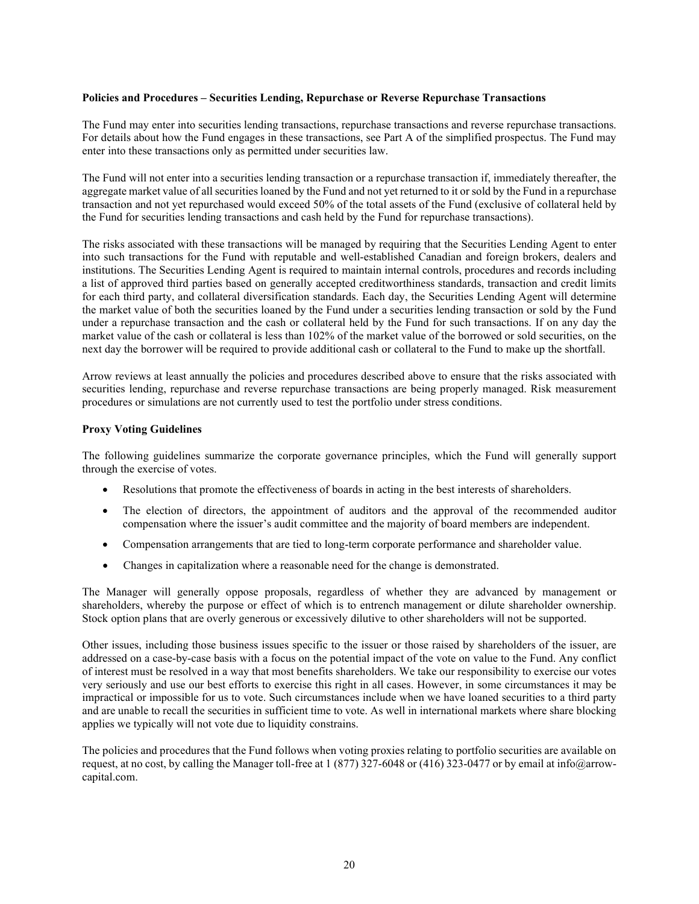#### **Policies and Procedures – Securities Lending, Repurchase or Reverse Repurchase Transactions**

The Fund may enter into securities lending transactions, repurchase transactions and reverse repurchase transactions. For details about how the Fund engages in these transactions, see Part A of the simplified prospectus. The Fund may enter into these transactions only as permitted under securities law.

The Fund will not enter into a securities lending transaction or a repurchase transaction if, immediately thereafter, the aggregate market value of all securities loaned by the Fund and not yet returned to it or sold by the Fund in a repurchase transaction and not yet repurchased would exceed 50% of the total assets of the Fund (exclusive of collateral held by the Fund for securities lending transactions and cash held by the Fund for repurchase transactions).

The risks associated with these transactions will be managed by requiring that the Securities Lending Agent to enter into such transactions for the Fund with reputable and well-established Canadian and foreign brokers, dealers and institutions. The Securities Lending Agent is required to maintain internal controls, procedures and records including a list of approved third parties based on generally accepted creditworthiness standards, transaction and credit limits for each third party, and collateral diversification standards. Each day, the Securities Lending Agent will determine the market value of both the securities loaned by the Fund under a securities lending transaction or sold by the Fund under a repurchase transaction and the cash or collateral held by the Fund for such transactions. If on any day the market value of the cash or collateral is less than 102% of the market value of the borrowed or sold securities, on the next day the borrower will be required to provide additional cash or collateral to the Fund to make up the shortfall.

Arrow reviews at least annually the policies and procedures described above to ensure that the risks associated with securities lending, repurchase and reverse repurchase transactions are being properly managed. Risk measurement procedures or simulations are not currently used to test the portfolio under stress conditions.

#### **Proxy Voting Guidelines**

The following guidelines summarize the corporate governance principles, which the Fund will generally support through the exercise of votes.

- Resolutions that promote the effectiveness of boards in acting in the best interests of shareholders.
- The election of directors, the appointment of auditors and the approval of the recommended auditor compensation where the issuer's audit committee and the majority of board members are independent.
- Compensation arrangements that are tied to long-term corporate performance and shareholder value.
- Changes in capitalization where a reasonable need for the change is demonstrated.

The Manager will generally oppose proposals, regardless of whether they are advanced by management or shareholders, whereby the purpose or effect of which is to entrench management or dilute shareholder ownership. Stock option plans that are overly generous or excessively dilutive to other shareholders will not be supported.

Other issues, including those business issues specific to the issuer or those raised by shareholders of the issuer, are addressed on a case-by-case basis with a focus on the potential impact of the vote on value to the Fund. Any conflict of interest must be resolved in a way that most benefits shareholders. We take our responsibility to exercise our votes very seriously and use our best efforts to exercise this right in all cases. However, in some circumstances it may be impractical or impossible for us to vote. Such circumstances include when we have loaned securities to a third party and are unable to recall the securities in sufficient time to vote. As well in international markets where share blocking applies we typically will not vote due to liquidity constrains.

The policies and procedures that the Fund follows when voting proxies relating to portfolio securities are available on request, at no cost, by calling the Manager toll-free at 1 (877) 327-6048 or (416) 323-0477 or by email at info@arrowcapital.com.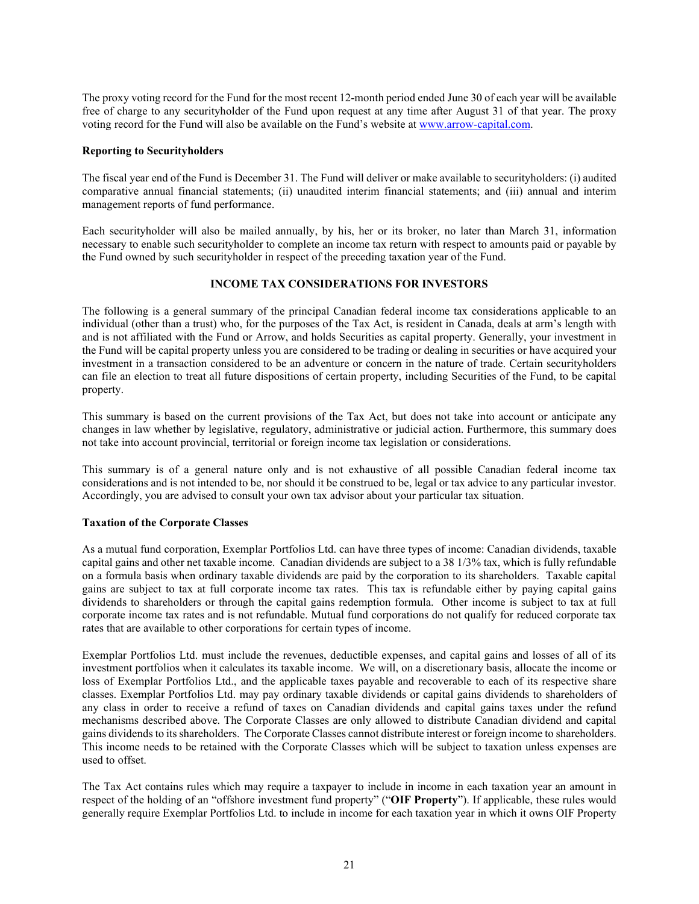The proxy voting record for the Fund for the most recent 12-month period ended June 30 of each year will be available free of charge to any securityholder of the Fund upon request at any time after August 31 of that year. The proxy voting record for the Fund will also be available on the Fund's website at [www.arrow-capital.com.](http://www.arrow-capital.com/)

#### **Reporting to Securityholders**

The fiscal year end of the Fund is December 31. The Fund will deliver or make available to securityholders: (i) audited comparative annual financial statements; (ii) unaudited interim financial statements; and (iii) annual and interim management reports of fund performance.

Each securityholder will also be mailed annually, by his, her or its broker, no later than March 31, information necessary to enable such securityholder to complete an income tax return with respect to amounts paid or payable by the Fund owned by such securityholder in respect of the preceding taxation year of the Fund.

#### **INCOME TAX CONSIDERATIONS FOR INVESTORS**

<span id="page-20-0"></span>The following is a general summary of the principal Canadian federal income tax considerations applicable to an individual (other than a trust) who, for the purposes of the Tax Act, is resident in Canada, deals at arm's length with and is not affiliated with the Fund or Arrow, and holds Securities as capital property. Generally, your investment in the Fund will be capital property unless you are considered to be trading or dealing in securities or have acquired your investment in a transaction considered to be an adventure or concern in the nature of trade. Certain securityholders can file an election to treat all future dispositions of certain property, including Securities of the Fund, to be capital property.

This summary is based on the current provisions of the Tax Act, but does not take into account or anticipate any changes in law whether by legislative, regulatory, administrative or judicial action. Furthermore, this summary does not take into account provincial, territorial or foreign income tax legislation or considerations.

This summary is of a general nature only and is not exhaustive of all possible Canadian federal income tax considerations and is not intended to be, nor should it be construed to be, legal or tax advice to any particular investor. Accordingly, you are advised to consult your own tax advisor about your particular tax situation.

# **Taxation of the Corporate Classes**

As a mutual fund corporation, Exemplar Portfolios Ltd. can have three types of income: Canadian dividends, taxable capital gains and other net taxable income. Canadian dividends are subject to a 38 1/3% tax, which is fully refundable on a formula basis when ordinary taxable dividends are paid by the corporation to its shareholders. Taxable capital gains are subject to tax at full corporate income tax rates. This tax is refundable either by paying capital gains dividends to shareholders or through the capital gains redemption formula. Other income is subject to tax at full corporate income tax rates and is not refundable. Mutual fund corporations do not qualify for reduced corporate tax rates that are available to other corporations for certain types of income.

Exemplar Portfolios Ltd. must include the revenues, deductible expenses, and capital gains and losses of all of its investment portfolios when it calculates its taxable income. We will, on a discretionary basis, allocate the income or loss of Exemplar Portfolios Ltd., and the applicable taxes payable and recoverable to each of its respective share classes. Exemplar Portfolios Ltd. may pay ordinary taxable dividends or capital gains dividends to shareholders of any class in order to receive a refund of taxes on Canadian dividends and capital gains taxes under the refund mechanisms described above. The Corporate Classes are only allowed to distribute Canadian dividend and capital gains dividends to its shareholders. The Corporate Classes cannot distribute interest or foreign income to shareholders. This income needs to be retained with the Corporate Classes which will be subject to taxation unless expenses are used to offset.

The Tax Act contains rules which may require a taxpayer to include in income in each taxation year an amount in respect of the holding of an "offshore investment fund property" ("**OIF Property**"). If applicable, these rules would generally require Exemplar Portfolios Ltd. to include in income for each taxation year in which it owns OIF Property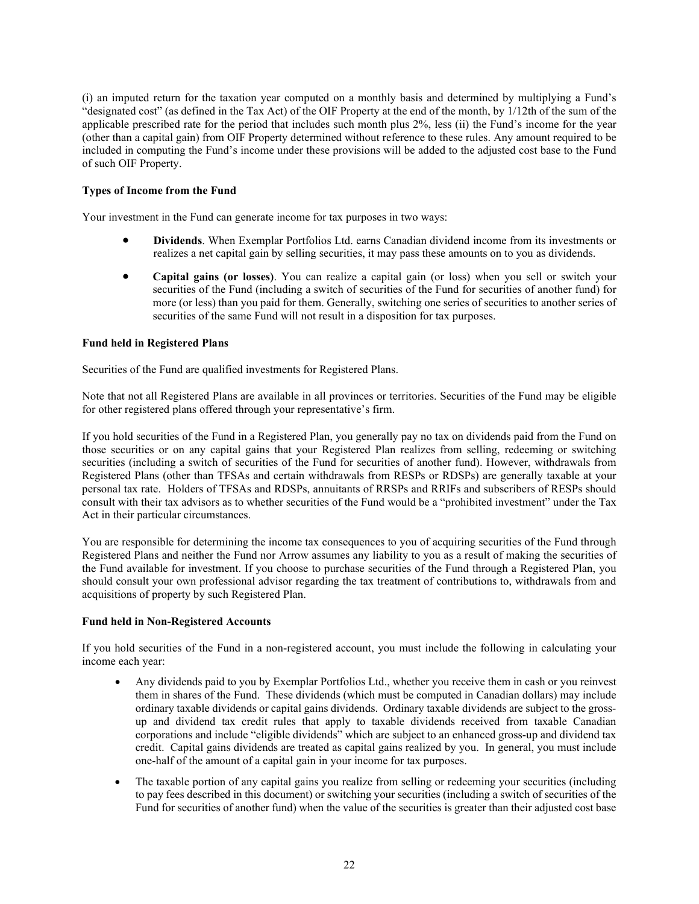(i) an imputed return for the taxation year computed on a monthly basis and determined by multiplying a Fund's "designated cost" (as defined in the Tax Act) of the OIF Property at the end of the month, by 1/12th of the sum of the applicable prescribed rate for the period that includes such month plus 2%, less (ii) the Fund's income for the year (other than a capital gain) from OIF Property determined without reference to these rules. Any amount required to be included in computing the Fund's income under these provisions will be added to the adjusted cost base to the Fund of such OIF Property.

#### **Types of Income from the Fund**

Your investment in the Fund can generate income for tax purposes in two ways:

- **Dividends**. When Exemplar Portfolios Ltd. earns Canadian dividend income from its investments or realizes a net capital gain by selling securities, it may pass these amounts on to you as dividends.
- **Capital gains (or losses)**. You can realize a capital gain (or loss) when you sell or switch your securities of the Fund (including a switch of securities of the Fund for securities of another fund) for more (or less) than you paid for them. Generally, switching one series of securities to another series of securities of the same Fund will not result in a disposition for tax purposes.

#### **Fund held in Registered Plans**

Securities of the Fund are qualified investments for Registered Plans.

Note that not all Registered Plans are available in all provinces or territories. Securities of the Fund may be eligible for other registered plans offered through your representative's firm.

If you hold securities of the Fund in a Registered Plan, you generally pay no tax on dividends paid from the Fund on those securities or on any capital gains that your Registered Plan realizes from selling, redeeming or switching securities (including a switch of securities of the Fund for securities of another fund). However, withdrawals from Registered Plans (other than TFSAs and certain withdrawals from RESPs or RDSPs) are generally taxable at your personal tax rate. Holders of TFSAs and RDSPs, annuitants of RRSPs and RRIFs and subscribers of RESPs should consult with their tax advisors as to whether securities of the Fund would be a "prohibited investment" under the Tax Act in their particular circumstances.

You are responsible for determining the income tax consequences to you of acquiring securities of the Fund through Registered Plans and neither the Fund nor Arrow assumes any liability to you as a result of making the securities of the Fund available for investment. If you choose to purchase securities of the Fund through a Registered Plan, you should consult your own professional advisor regarding the tax treatment of contributions to, withdrawals from and acquisitions of property by such Registered Plan.

#### **Fund held in Non-Registered Accounts**

If you hold securities of the Fund in a non-registered account, you must include the following in calculating your income each year:

- Any dividends paid to you by Exemplar Portfolios Ltd., whether you receive them in cash or you reinvest them in shares of the Fund. These dividends (which must be computed in Canadian dollars) may include ordinary taxable dividends or capital gains dividends. Ordinary taxable dividends are subject to the grossup and dividend tax credit rules that apply to taxable dividends received from taxable Canadian corporations and include "eligible dividends" which are subject to an enhanced gross-up and dividend tax credit. Capital gains dividends are treated as capital gains realized by you. In general, you must include one-half of the amount of a capital gain in your income for tax purposes.
- The taxable portion of any capital gains you realize from selling or redeeming your securities (including to pay fees described in this document) or switching your securities (including a switch of securities of the Fund for securities of another fund) when the value of the securities is greater than their adjusted cost base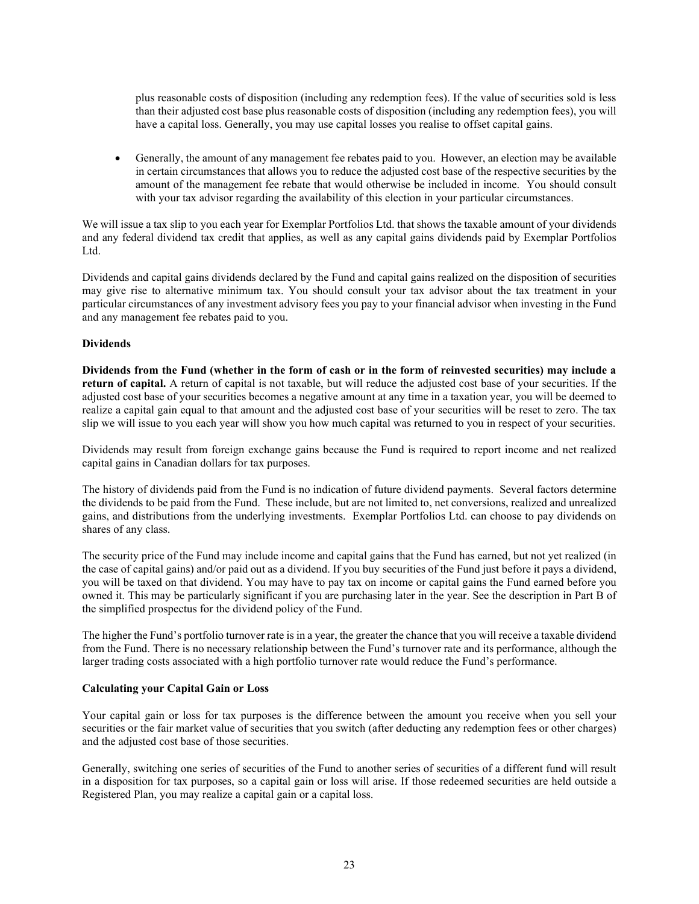plus reasonable costs of disposition (including any redemption fees). If the value of securities sold is less than their adjusted cost base plus reasonable costs of disposition (including any redemption fees), you will have a capital loss. Generally, you may use capital losses you realise to offset capital gains.

• Generally, the amount of any management fee rebates paid to you. However, an election may be available in certain circumstances that allows you to reduce the adjusted cost base of the respective securities by the amount of the management fee rebate that would otherwise be included in income. You should consult with your tax advisor regarding the availability of this election in your particular circumstances.

We will issue a tax slip to you each year for Exemplar Portfolios Ltd. that shows the taxable amount of your dividends and any federal dividend tax credit that applies, as well as any capital gains dividends paid by Exemplar Portfolios Ltd.

Dividends and capital gains dividends declared by the Fund and capital gains realized on the disposition of securities may give rise to alternative minimum tax. You should consult your tax advisor about the tax treatment in your particular circumstances of any investment advisory fees you pay to your financial advisor when investing in the Fund and any management fee rebates paid to you.

#### **Dividends**

**Dividends from the Fund (whether in the form of cash or in the form of reinvested securities) may include a return of capital.** A return of capital is not taxable, but will reduce the adjusted cost base of your securities. If the adjusted cost base of your securities becomes a negative amount at any time in a taxation year, you will be deemed to realize a capital gain equal to that amount and the adjusted cost base of your securities will be reset to zero. The tax slip we will issue to you each year will show you how much capital was returned to you in respect of your securities.

Dividends may result from foreign exchange gains because the Fund is required to report income and net realized capital gains in Canadian dollars for tax purposes.

The history of dividends paid from the Fund is no indication of future dividend payments. Several factors determine the dividends to be paid from the Fund. These include, but are not limited to, net conversions, realized and unrealized gains, and distributions from the underlying investments. Exemplar Portfolios Ltd. can choose to pay dividends on shares of any class.

The security price of the Fund may include income and capital gains that the Fund has earned, but not yet realized (in the case of capital gains) and/or paid out as a dividend. If you buy securities of the Fund just before it pays a dividend, you will be taxed on that dividend. You may have to pay tax on income or capital gains the Fund earned before you owned it. This may be particularly significant if you are purchasing later in the year. See the description in Part B of the simplified prospectus for the dividend policy of the Fund.

The higher the Fund's portfolio turnover rate is in a year, the greater the chance that you will receive a taxable dividend from the Fund. There is no necessary relationship between the Fund's turnover rate and its performance, although the larger trading costs associated with a high portfolio turnover rate would reduce the Fund's performance.

#### **Calculating your Capital Gain or Loss**

Your capital gain or loss for tax purposes is the difference between the amount you receive when you sell your securities or the fair market value of securities that you switch (after deducting any redemption fees or other charges) and the adjusted cost base of those securities.

Generally, switching one series of securities of the Fund to another series of securities of a different fund will result in a disposition for tax purposes, so a capital gain or loss will arise. If those redeemed securities are held outside a Registered Plan, you may realize a capital gain or a capital loss.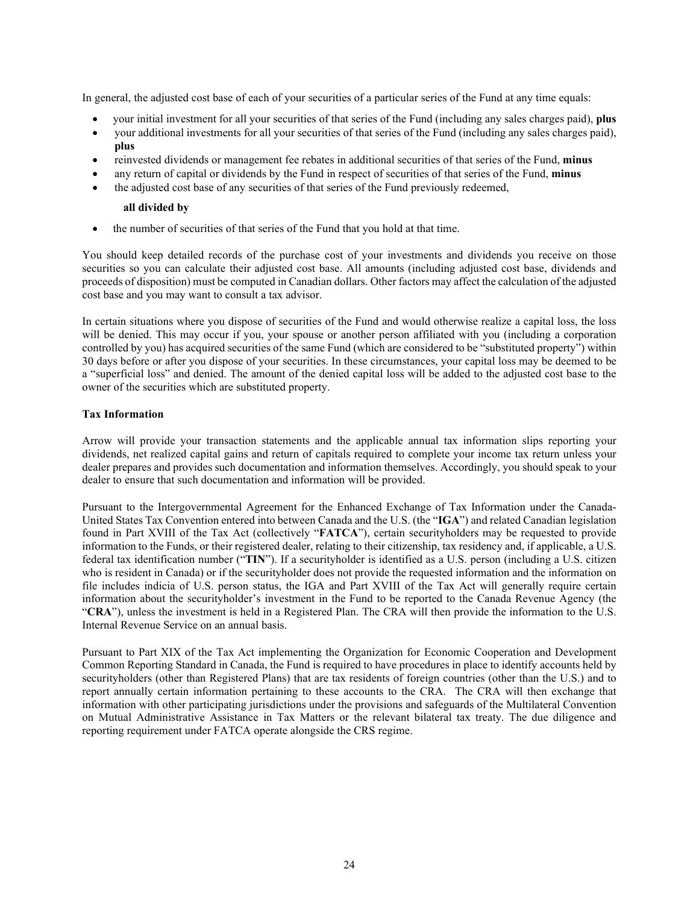In general, the adjusted cost base of each of your securities of a particular series of the Fund at any time equals:

- your initial investment for all your securities of that series of the Fund (including any sales charges paid), **plus**
- your additional investments for all your securities of that series of the Fund (including any sales charges paid), **plus**
- reinvested dividends or management fee rebates in additional securities of that series of the Fund, **minus**
- any return of capital or dividends by the Fund in respect of securities of that series of the Fund, **minus**
- the adjusted cost base of any securities of that series of the Fund previously redeemed,

#### **all divided by**

• the number of securities of that series of the Fund that you hold at that time.

You should keep detailed records of the purchase cost of your investments and dividends you receive on those securities so you can calculate their adjusted cost base. All amounts (including adjusted cost base, dividends and proceeds of disposition) must be computed in Canadian dollars. Other factors may affect the calculation of the adjusted cost base and you may want to consult a tax advisor.

In certain situations where you dispose of securities of the Fund and would otherwise realize a capital loss, the loss will be denied. This may occur if you, your spouse or another person affiliated with you (including a corporation controlled by you) has acquired securities of the same Fund (which are considered to be "substituted property") within 30 days before or after you dispose of your securities. In these circumstances, your capital loss may be deemed to be a "superficial loss" and denied. The amount of the denied capital loss will be added to the adjusted cost base to the owner of the securities which are substituted property.

#### **Tax Information**

Arrow will provide your transaction statements and the applicable annual tax information slips reporting your dividends, net realized capital gains and return of capitals required to complete your income tax return unless your dealer prepares and provides such documentation and information themselves. Accordingly, you should speak to your dealer to ensure that such documentation and information will be provided.

Pursuant to the Intergovernmental Agreement for the Enhanced Exchange of Tax Information under the Canada-United States Tax Convention entered into between Canada and the U.S. (the "**IGA**") and related Canadian legislation found in Part XVIII of the Tax Act (collectively "**FATCA**"), certain securityholders may be requested to provide information to the Funds, or their registered dealer, relating to their citizenship, tax residency and, if applicable, a U.S. federal tax identification number ("**TIN**"). If a securityholder is identified as a U.S. person (including a U.S. citizen who is resident in Canada) or if the securityholder does not provide the requested information and the information on file includes indicia of U.S. person status, the IGA and Part XVIII of the Tax Act will generally require certain information about the securityholder's investment in the Fund to be reported to the Canada Revenue Agency (the "**CRA**"), unless the investment is held in a Registered Plan. The CRA will then provide the information to the U.S. Internal Revenue Service on an annual basis.

Pursuant to Part XIX of the Tax Act implementing the Organization for Economic Cooperation and Development Common Reporting Standard in Canada, the Fund is required to have procedures in place to identify accounts held by securityholders (other than Registered Plans) that are tax residents of foreign countries (other than the U.S.) and to report annually certain information pertaining to these accounts to the CRA. The CRA will then exchange that information with other participating jurisdictions under the provisions and safeguards of the Multilateral Convention on Mutual Administrative Assistance in Tax Matters or the relevant bilateral tax treaty. The due diligence and reporting requirement under FATCA operate alongside the CRS regime.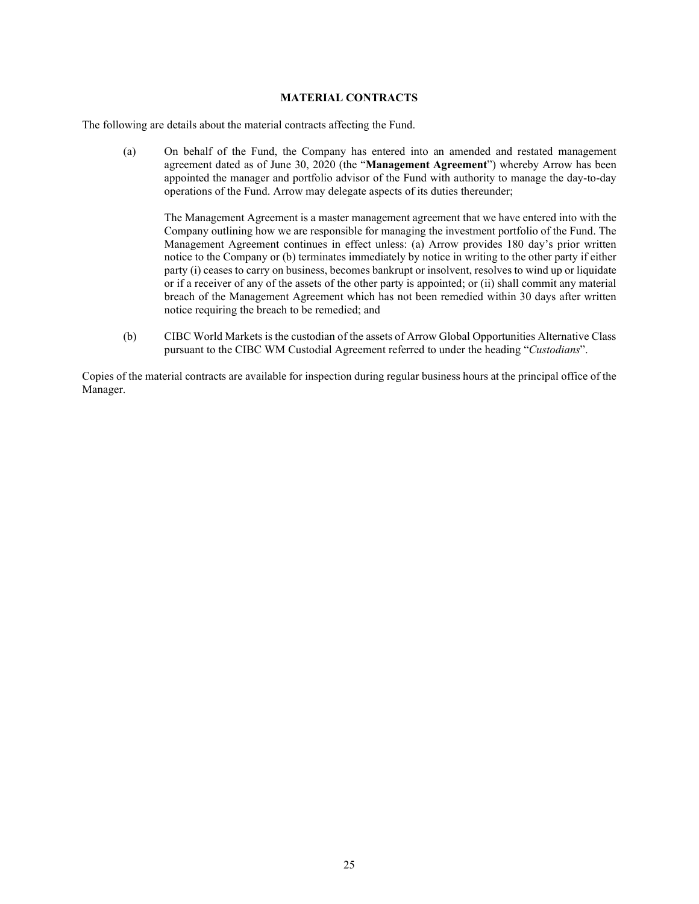#### **MATERIAL CONTRACTS**

<span id="page-24-0"></span>The following are details about the material contracts affecting the Fund.

(a) On behalf of the Fund, the Company has entered into an amended and restated management agreement dated as of June 30, 2020 (the "**Management Agreement**") whereby Arrow has been appointed the manager and portfolio advisor of the Fund with authority to manage the day-to-day operations of the Fund. Arrow may delegate aspects of its duties thereunder;

The Management Agreement is a master management agreement that we have entered into with the Company outlining how we are responsible for managing the investment portfolio of the Fund. The Management Agreement continues in effect unless: (a) Arrow provides 180 day's prior written notice to the Company or (b) terminates immediately by notice in writing to the other party if either party (i) ceases to carry on business, becomes bankrupt or insolvent, resolves to wind up or liquidate or if a receiver of any of the assets of the other party is appointed; or (ii) shall commit any material breach of the Management Agreement which has not been remedied within 30 days after written notice requiring the breach to be remedied; and

(b) CIBC World Markets is the custodian of the assets of Arrow Global Opportunities Alternative Class pursuant to the CIBC WM Custodial Agreement referred to under the heading "*Custodians*".

Copies of the material contracts are available for inspection during regular business hours at the principal office of the Manager.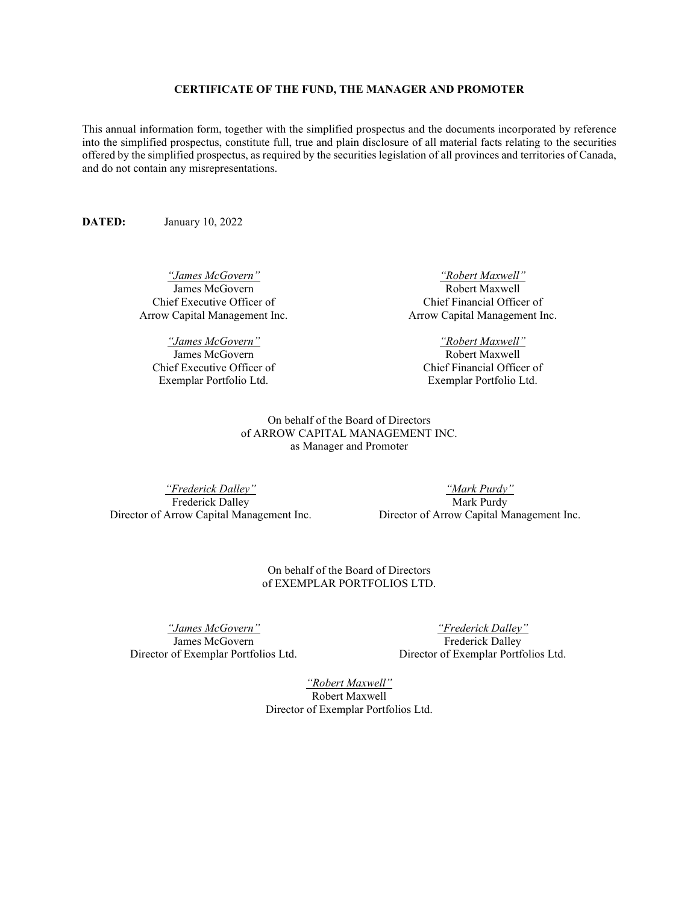#### **CERTIFICATE OF THE FUND, THE MANAGER AND PROMOTER**

<span id="page-25-0"></span>This annual information form, together with the simplified prospectus and the documents incorporated by reference into the simplified prospectus, constitute full, true and plain disclosure of all material facts relating to the securities offered by the simplified prospectus, as required by the securities legislation of all provinces and territories of Canada, and do not contain any misrepresentations.

**DATED:** January 10, 2022

*"James McGovern"* James McGovern Chief Executive Officer of Arrow Capital Management Inc.

*"James McGovern"* James McGovern Chief Executive Officer of Exemplar Portfolio Ltd.

*"Robert Maxwell"* Robert Maxwell Chief Financial Officer of Arrow Capital Management Inc.

*"Robert Maxwell"* Robert Maxwell Chief Financial Officer of Exemplar Portfolio Ltd.

On behalf of the Board of Directors of ARROW CAPITAL MANAGEMENT INC. as Manager and Promoter

*"Frederick Dalley"* Frederick Dalley Director of Arrow Capital Management Inc.

*"Mark Purdy"* Mark Purdy Director of Arrow Capital Management Inc.

On behalf of the Board of Directors of EXEMPLAR PORTFOLIOS LTD.

*"James McGovern"* James McGovern Director of Exemplar Portfolios Ltd.

*"Frederick Dalley"* Frederick Dalley Director of Exemplar Portfolios Ltd.

*"Robert Maxwell"* Robert Maxwell Director of Exemplar Portfolios Ltd.